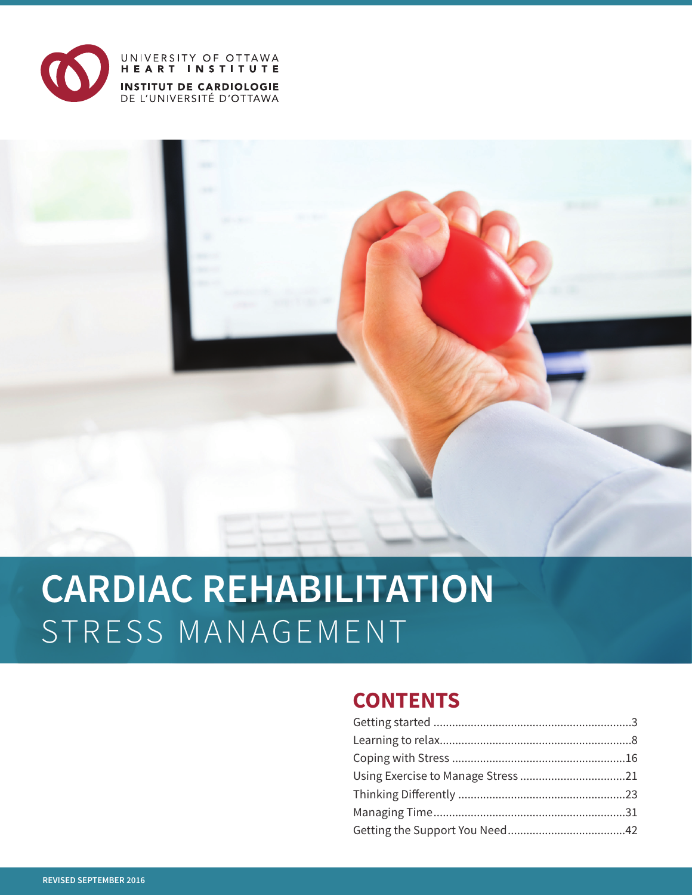

# UNIVERSITY OF OTTAWA<br>HEART INSTITUTE **INSTITUT DE CARDIOLOGIE**<br>DE L'UNIVERSITÉ D'OTTAWA

# **CARDIAC REHABILITATION** STRESS MANAGEMENT

# **CONTENTS**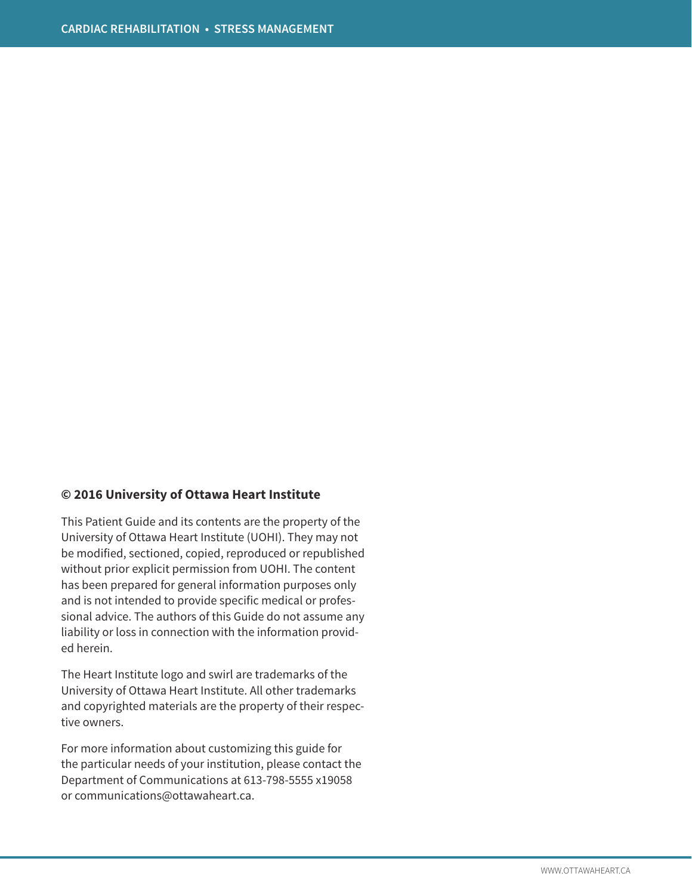#### **© 2016 University of Ottawa Heart Institute**

This Patient Guide and its contents are the property of the University of Ottawa Heart Institute (UOHI). They may not be modified, sectioned, copied, reproduced or republished without prior explicit permission from UOHI. The content has been prepared for general information purposes only and is not intended to provide specific medical or professional advice. The authors of this Guide do not assume any liability or loss in connection with the information provided herein.

The Heart Institute logo and swirl are trademarks of the University of Ottawa Heart Institute. All other trademarks and copyrighted materials are the property of their respective owners.

For more information about customizing this guide for the particular needs of your institution, please contact the Department of Communications at 613-798-5555 x19058 or communications@ottawaheart.ca.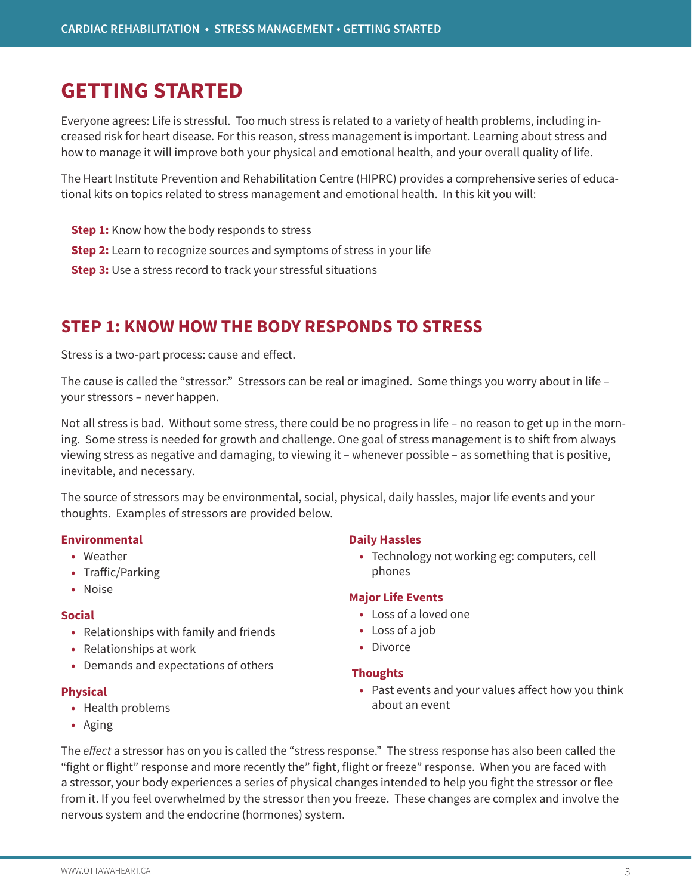# **GETTING STARTED**

Everyone agrees: Life is stressful. Too much stress is related to a variety of health problems, including increased risk for heart disease. For this reason, stress management is important. Learning about stress and how to manage it will improve both your physical and emotional health, and your overall quality of life.

The Heart Institute Prevention and Rehabilitation Centre (HIPRC) provides a comprehensive series of educational kits on topics related to stress management and emotional health. In this kit you will:

- **Step 1:** Know how the body responds to stress
- **Step 2:** Learn to recognize sources and symptoms of stress in your life
- **Step 3:** Use a stress record to track your stressful situations

# **STEP 1: KNOW HOW THE BODY RESPONDS TO STRESS**

Stress is a two-part process: cause and effect.

The cause is called the "stressor." Stressors can be real or imagined. Some things you worry about in life – your stressors – never happen.

Not all stress is bad. Without some stress, there could be no progress in life – no reason to get up in the morning. Some stress is needed for growth and challenge. One goal of stress management is to shift from always viewing stress as negative and damaging, to viewing it – whenever possible – as something that is positive, inevitable, and necessary.

The source of stressors may be environmental, social, physical, daily hassles, major life events and your thoughts. Examples of stressors are provided below.

#### **Environmental**

- **•** Weather
- **•** Traffic/Parking
- **•** Noise

#### **Social**

- **•** Relationships with family and friends
- **•** Relationships at work
- **•** Demands and expectations of others

#### **Physical**

- **•** Health problems
- **•** Aging

#### **Daily Hassles**

**•** Technology not working eg: computers, cell phones

### **Major Life Events**

- **•** Loss of a loved one
- **•** Loss of a job
- **•** Divorce

#### **Thoughts**

**•** Past events and your values affect how you think about an event

The *effect* a stressor has on you is called the "stress response." The stress response has also been called the "fight or flight" response and more recently the" fight, flight or freeze" response. When you are faced with a stressor, your body experiences a series of physical changes intended to help you fight the stressor or flee from it. If you feel overwhelmed by the stressor then you freeze. These changes are complex and involve the nervous system and the endocrine (hormones) system.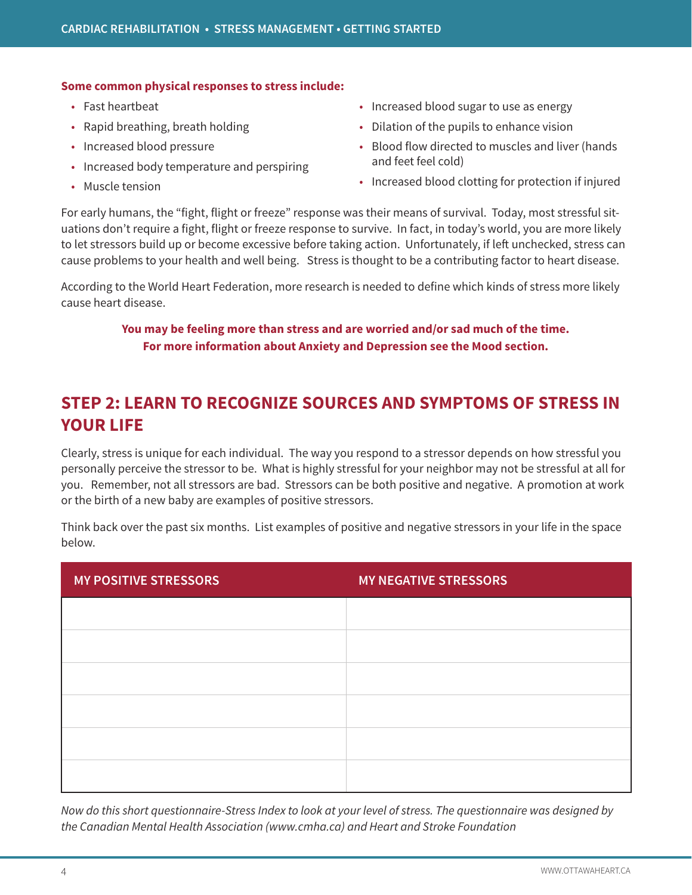#### **Some common physical responses to stress include:**

- Fast heartbeat
- Rapid breathing, breath holding
- Increased blood pressure
- Increased body temperature and perspiring
- Muscle tension
- Increased blood sugar to use as energy
- Dilation of the pupils to enhance vision
- Blood flow directed to muscles and liver (hands and feet feel cold)
- Increased blood clotting for protection if injured

For early humans, the "fight, flight or freeze" response was their means of survival. Today, most stressful situations don't require a fight, flight or freeze response to survive. In fact, in today's world, you are more likely to let stressors build up or become excessive before taking action. Unfortunately, if left unchecked, stress can cause problems to your health and well being. Stress is thought to be a contributing factor to heart disease.

According to the World Heart Federation, more research is needed to define which kinds of stress more likely cause heart disease.

# **You may be feeling more than stress and are worried and/or sad much of the time. For more information about Anxiety and Depression see the Mood section.**

# **STEP 2: LEARN TO RECOGNIZE SOURCES AND SYMPTOMS OF STRESS IN YOUR LIFE**

Clearly, stress is unique for each individual. The way you respond to a stressor depends on how stressful you personally perceive the stressor to be. What is highly stressful for your neighbor may not be stressful at all for you. Remember, not all stressors are bad. Stressors can be both positive and negative. A promotion at work or the birth of a new baby are examples of positive stressors.

Think back over the past six months. List examples of positive and negative stressors in your life in the space below.

| <b>MY POSITIVE STRESSORS</b> | <b>MY NEGATIVE STRESSORS</b> |
|------------------------------|------------------------------|
|                              |                              |
|                              |                              |
|                              |                              |
|                              |                              |
|                              |                              |
|                              |                              |

*Now do this short questionnaire-Stress Index to look at your level of stress. The questionnaire was designed by the Canadian Mental Health Association (www.cmha.ca) and Heart and Stroke Foundation*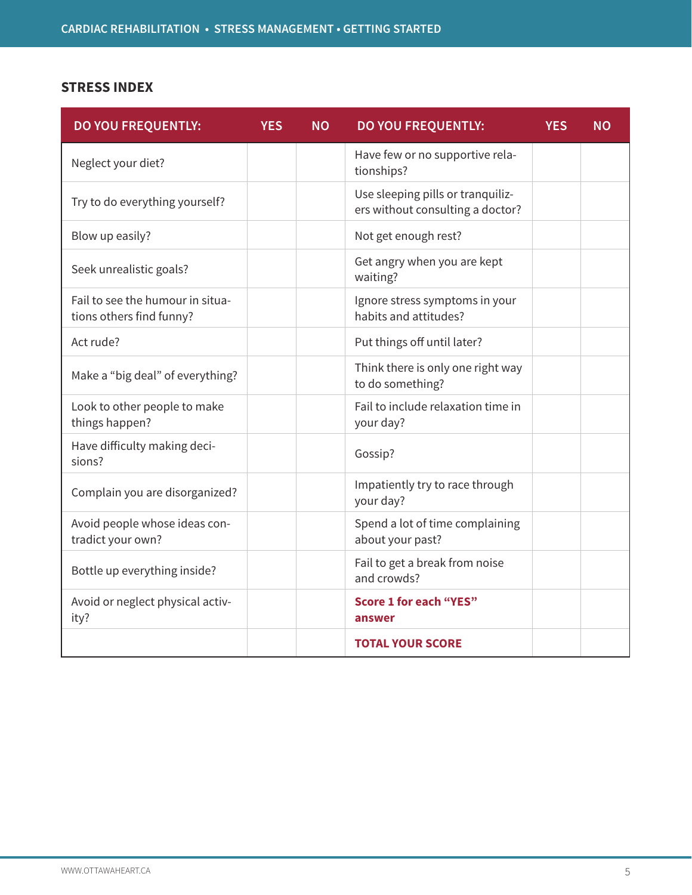# **STRESS INDEX**

| <b>DO YOU FREQUENTLY:</b>                                    | <b>YES</b> | <b>NO</b> | <b>DO YOU FREQUENTLY:</b>                                             | <b>YES</b> | <b>NO</b> |
|--------------------------------------------------------------|------------|-----------|-----------------------------------------------------------------------|------------|-----------|
| Neglect your diet?                                           |            |           | Have few or no supportive rela-<br>tionships?                         |            |           |
| Try to do everything yourself?                               |            |           | Use sleeping pills or tranquiliz-<br>ers without consulting a doctor? |            |           |
| Blow up easily?                                              |            |           | Not get enough rest?                                                  |            |           |
| Seek unrealistic goals?                                      |            |           | Get angry when you are kept<br>waiting?                               |            |           |
| Fail to see the humour in situa-<br>tions others find funny? |            |           | Ignore stress symptoms in your<br>habits and attitudes?               |            |           |
| Act rude?                                                    |            |           | Put things off until later?                                           |            |           |
| Make a "big deal" of everything?                             |            |           | Think there is only one right way<br>to do something?                 |            |           |
| Look to other people to make<br>things happen?               |            |           | Fail to include relaxation time in<br>your day?                       |            |           |
| Have difficulty making deci-<br>sions?                       |            |           | Gossip?                                                               |            |           |
| Complain you are disorganized?                               |            |           | Impatiently try to race through<br>your day?                          |            |           |
| Avoid people whose ideas con-<br>tradict your own?           |            |           | Spend a lot of time complaining<br>about your past?                   |            |           |
| Bottle up everything inside?                                 |            |           | Fail to get a break from noise<br>and crowds?                         |            |           |
| Avoid or neglect physical activ-<br>ity?                     |            |           | <b>Score 1 for each "YES"</b><br>answer                               |            |           |
|                                                              |            |           | <b>TOTAL YOUR SCORE</b>                                               |            |           |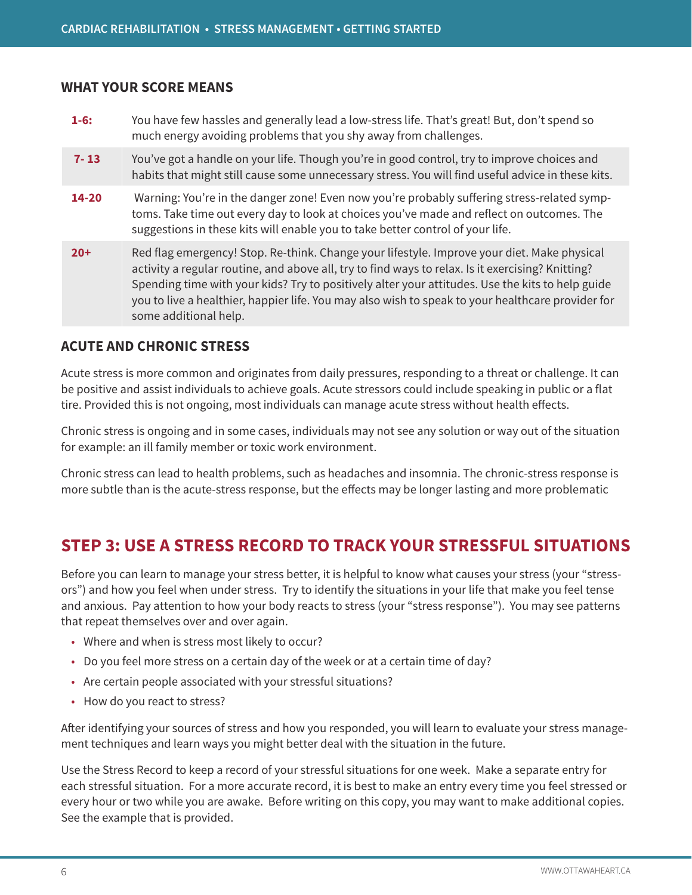### **WHAT YOUR SCORE MEANS**

| $1-6:$    | You have few hassles and generally lead a low-stress life. That's great! But, don't spend so<br>much energy avoiding problems that you shy away from challenges.                                                                                                                                                                                                                                                                   |
|-----------|------------------------------------------------------------------------------------------------------------------------------------------------------------------------------------------------------------------------------------------------------------------------------------------------------------------------------------------------------------------------------------------------------------------------------------|
| $7 - 13$  | You've got a handle on your life. Though you're in good control, try to improve choices and<br>habits that might still cause some unnecessary stress. You will find useful advice in these kits.                                                                                                                                                                                                                                   |
| $14 - 20$ | Warning: You're in the danger zone! Even now you're probably suffering stress-related symp-<br>toms. Take time out every day to look at choices you've made and reflect on outcomes. The<br>suggestions in these kits will enable you to take better control of your life.                                                                                                                                                         |
| $20+$     | Red flag emergency! Stop. Re-think. Change your lifestyle. Improve your diet. Make physical<br>activity a regular routine, and above all, try to find ways to relax. Is it exercising? Knitting?<br>Spending time with your kids? Try to positively alter your attitudes. Use the kits to help guide<br>you to live a healthier, happier life. You may also wish to speak to your healthcare provider for<br>some additional help. |

### **ACUTE AND CHRONIC STRESS**

Acute stress is more common and originates from daily pressures, responding to a threat or challenge. It can be positive and assist individuals to achieve goals. Acute stressors could include speaking in public or a flat tire. Provided this is not ongoing, most individuals can manage acute stress without health effects.

Chronic stress is ongoing and in some cases, individuals may not see any solution or way out of the situation for example: an ill family member or toxic work environment.

Chronic stress can lead to health problems, such as headaches and insomnia. The chronic-stress response is more subtle than is the acute-stress response, but the effects may be longer lasting and more problematic

# **STEP 3: USE A STRESS RECORD TO TRACK YOUR STRESSFUL SITUATIONS**

Before you can learn to manage your stress better, it is helpful to know what causes your stress (your "stressors") and how you feel when under stress. Try to identify the situations in your life that make you feel tense and anxious. Pay attention to how your body reacts to stress (your "stress response"). You may see patterns that repeat themselves over and over again.

- Where and when is stress most likely to occur?
- Do you feel more stress on a certain day of the week or at a certain time of day?
- Are certain people associated with your stressful situations?
- How do you react to stress?

After identifying your sources of stress and how you responded, you will learn to evaluate your stress management techniques and learn ways you might better deal with the situation in the future.

Use the Stress Record to keep a record of your stressful situations for one week. Make a separate entry for each stressful situation. For a more accurate record, it is best to make an entry every time you feel stressed or every hour or two while you are awake. Before writing on this copy, you may want to make additional copies. See the example that is provided.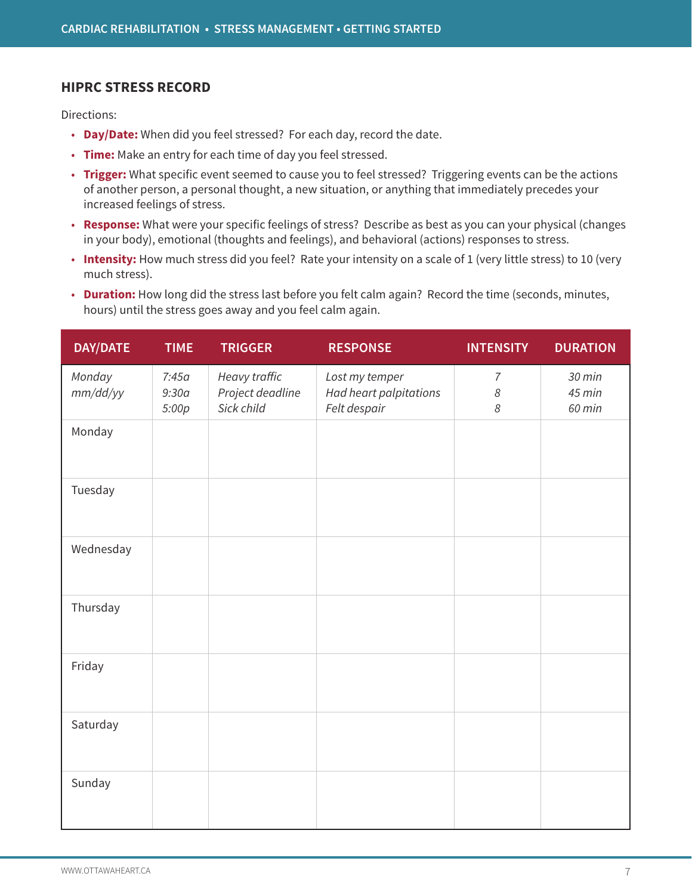### **HIPRC STRESS RECORD**

Directions:

- **Day/Date:** When did you feel stressed? For each day, record the date.
- **Time:** Make an entry for each time of day you feel stressed.
- **Trigger:** What specific event seemed to cause you to feel stressed? Triggering events can be the actions of another person, a personal thought, a new situation, or anything that immediately precedes your increased feelings of stress.
- **Response:** What were your specific feelings of stress? Describe as best as you can your physical (changes in your body), emotional (thoughts and feelings), and behavioral (actions) responses to stress.
- **Intensity:** How much stress did you feel? Rate your intensity on a scale of 1 (very little stress) to 10 (very much stress).
- **Duration:** How long did the stress last before you felt calm again? Record the time (seconds, minutes, hours) until the stress goes away and you feel calm again.

| <b>DAY/DATE</b>    | <b>TIME</b>             | <b>TRIGGER</b>                                  | <b>RESPONSE</b>                                          | <b>INTENSITY</b>                                                           | <b>DURATION</b>            |
|--------------------|-------------------------|-------------------------------------------------|----------------------------------------------------------|----------------------------------------------------------------------------|----------------------------|
| Monday<br>mm/dd/yy | 7:45a<br>9:30a<br>5:00p | Heavy traffic<br>Project deadline<br>Sick child | Lost my temper<br>Had heart palpitations<br>Felt despair | $\overline{7}$<br>$\boldsymbol{\mathcal{S}}$<br>$\boldsymbol{\mathcal{S}}$ | 30 min<br>45 min<br>60 min |
| Monday             |                         |                                                 |                                                          |                                                                            |                            |
| Tuesday            |                         |                                                 |                                                          |                                                                            |                            |
| Wednesday          |                         |                                                 |                                                          |                                                                            |                            |
| Thursday           |                         |                                                 |                                                          |                                                                            |                            |
| Friday             |                         |                                                 |                                                          |                                                                            |                            |
| Saturday           |                         |                                                 |                                                          |                                                                            |                            |
| Sunday             |                         |                                                 |                                                          |                                                                            |                            |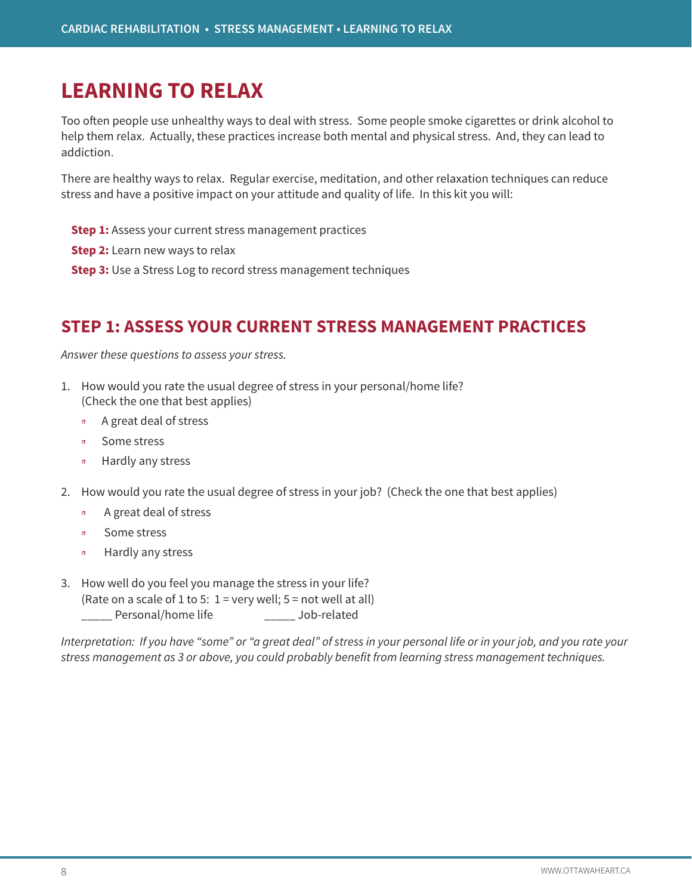# **LEARNING TO RELAX**

Too often people use unhealthy ways to deal with stress. Some people smoke cigarettes or drink alcohol to help them relax. Actually, these practices increase both mental and physical stress. And, they can lead to addiction.

There are healthy ways to relax. Regular exercise, meditation, and other relaxation techniques can reduce stress and have a positive impact on your attitude and quality of life. In this kit you will:

- **Step 1:** Assess your current stress management practices
- **Step 2:** Learn new ways to relax
- **Step 3:** Use a Stress Log to record stress management techniques

# **STEP 1: ASSESS YOUR CURRENT STRESS MANAGEMENT PRACTICES**

*Answer these questions to assess your stress.*

- 1. How would you rate the usual degree of stress in your personal/home life? (Check the one that best applies)
	- ❒ A great deal of stress
	- ❒ Some stress
	- ❒ Hardly any stress
- 2. How would you rate the usual degree of stress in your job? (Check the one that best applies)
	- ❒ A great deal of stress
	- ❒ Some stress
	- Hardly any stress
- 3. How well do you feel you manage the stress in your life? (Rate on a scale of 1 to 5:  $1 =$  very well;  $5 =$  not well at all) \_\_\_\_\_ Personal/home life \_\_\_\_\_ Job-related

*Interpretation: If you have "some" or "a great deal" of stress in your personal life or in your job, and you rate your stress management as 3 or above, you could probably benefit from learning stress management techniques.*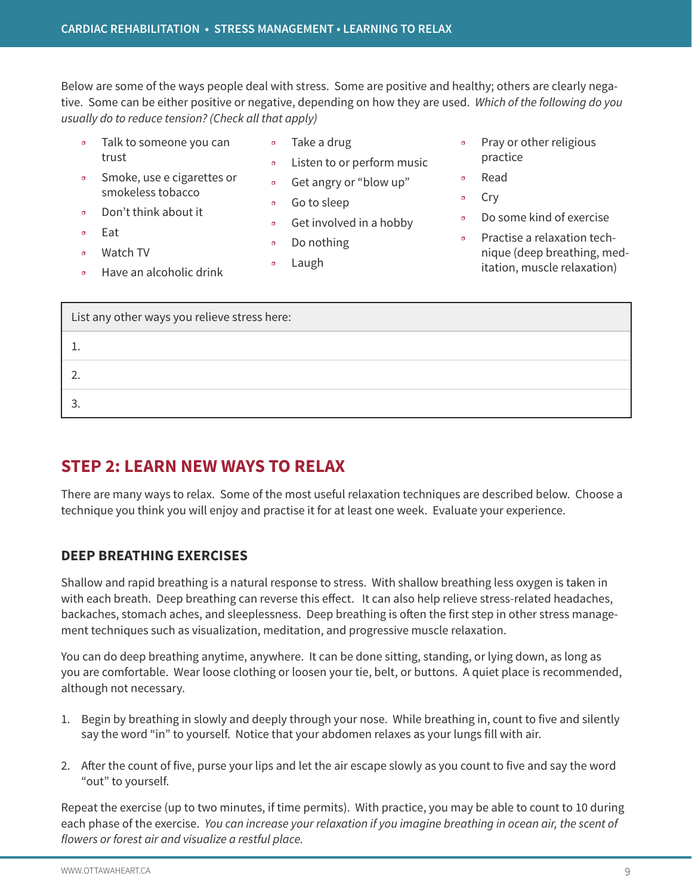**CARDIAC REHABILITATION • STRESS MANAGEMENT • Learning to Relax**

Below are some of the ways people deal with stress. Some are positive and healthy; others are clearly negative. Some can be either positive or negative, depending on how they are used. *Which of the following do you usually do to reduce tension? (Check all that apply)*

- ❒ Talk to someone you can trust
- Take a drug
- ❒ Listen to or perform music
- ❒ Smoke, use e cigarettes or smokeless tobacco
- ❒ Go to sleep
- ❒ Get involved in a hobby

■ Get angry or "blow up"

- ❒ Do nothing
- □ Laugh
- ❒ Pray or other religious practice
- **Read**
- ❒ Cry
- ❒ Do some kind of exercise
- ❒ Practise a relaxation technique (deep breathing, meditation, muscle relaxation)

■ Have an alcoholic drink

❒ Eat ■ Watch TV

■ Don't think about it

| List any other ways you relieve stress here: |
|----------------------------------------------|
|                                              |
| 2                                            |
| ર                                            |

# **STEP 2: LEARN NEW WAYS TO RELAX**

There are many ways to relax. Some of the most useful relaxation techniques are described below. Choose a technique you think you will enjoy and practise it for at least one week. Evaluate your experience.

### **DEEP BREATHING EXERCISES**

Shallow and rapid breathing is a natural response to stress. With shallow breathing less oxygen is taken in with each breath. Deep breathing can reverse this effect. It can also help relieve stress-related headaches, backaches, stomach aches, and sleeplessness. Deep breathing is often the first step in other stress management techniques such as visualization, meditation, and progressive muscle relaxation.

You can do deep breathing anytime, anywhere. It can be done sitting, standing, or lying down, as long as you are comfortable. Wear loose clothing or loosen your tie, belt, or buttons. A quiet place is recommended, although not necessary.

- 1. Begin by breathing in slowly and deeply through your nose. While breathing in, count to five and silently say the word "in" to yourself. Notice that your abdomen relaxes as your lungs fill with air.
- 2. After the count of five, purse your lips and let the air escape slowly as you count to five and say the word "out" to yourself.

Repeat the exercise (up to two minutes, if time permits). With practice, you may be able to count to 10 during each phase of the exercise. *You can increase your relaxation if you imagine breathing in ocean air, the scent of flowers or forest air and visualize a restful place.*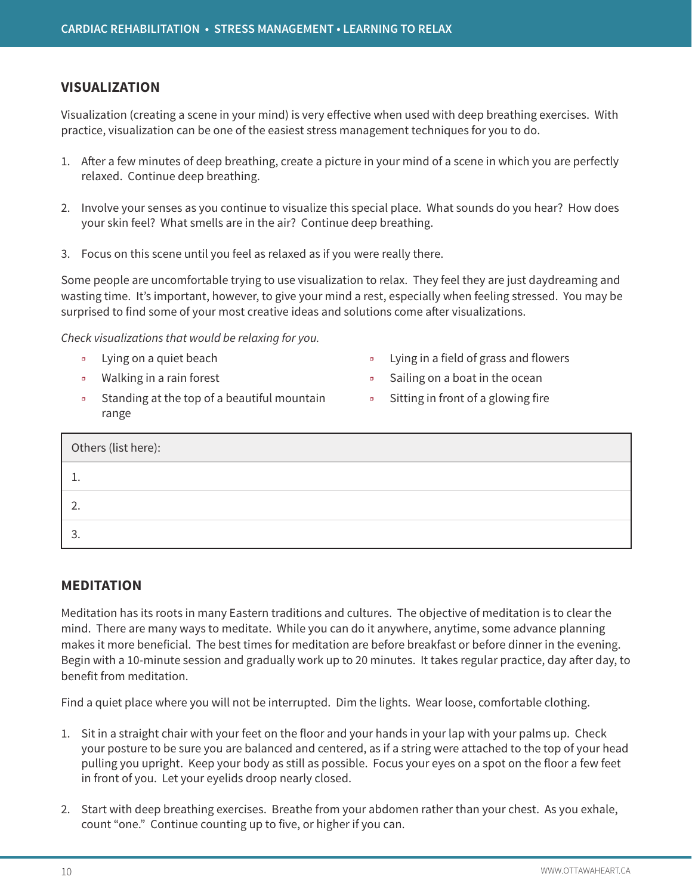### **VISUALIZATION**

Visualization (creating a scene in your mind) is very effective when used with deep breathing exercises. With practice, visualization can be one of the easiest stress management techniques for you to do.

- 1. After a few minutes of deep breathing, create a picture in your mind of a scene in which you are perfectly relaxed. Continue deep breathing.
- 2. Involve your senses as you continue to visualize this special place. What sounds do you hear? How does your skin feel? What smells are in the air? Continue deep breathing.
- 3. Focus on this scene until you feel as relaxed as if you were really there.

Some people are uncomfortable trying to use visualization to relax. They feel they are just daydreaming and wasting time. It's important, however, to give your mind a rest, especially when feeling stressed. You may be surprised to find some of your most creative ideas and solutions come after visualizations.

*Check visualizations that would be relaxing for you.*

- ❒ Lying on a quiet beach
- ❒ Walking in a rain forest
- ❒ Standing at the top of a beautiful mountain range
- ❒ Lying in a field of grass and flowers
- ❒ Sailing on a boat in the ocean
- ❒ Sitting in front of a glowing fire

| Others (list here): |  |
|---------------------|--|
|                     |  |
|                     |  |
|                     |  |

### **MEDITATION**

Meditation has its roots in many Eastern traditions and cultures. The objective of meditation is to clear the mind. There are many ways to meditate. While you can do it anywhere, anytime, some advance planning makes it more beneficial. The best times for meditation are before breakfast or before dinner in the evening. Begin with a 10-minute session and gradually work up to 20 minutes. It takes regular practice, day after day, to benefit from meditation.

Find a quiet place where you will not be interrupted. Dim the lights. Wear loose, comfortable clothing.

- 1. Sit in a straight chair with your feet on the floor and your hands in your lap with your palms up. Check your posture to be sure you are balanced and centered, as if a string were attached to the top of your head pulling you upright. Keep your body as still as possible. Focus your eyes on a spot on the floor a few feet in front of you. Let your eyelids droop nearly closed.
- 2. Start with deep breathing exercises. Breathe from your abdomen rather than your chest. As you exhale, count "one." Continue counting up to five, or higher if you can.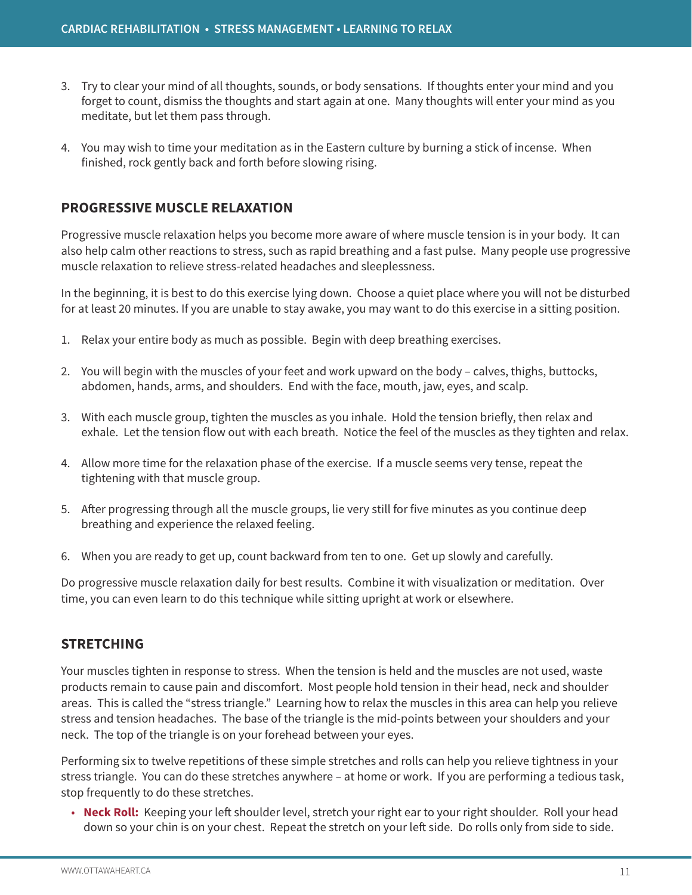- 3. Try to clear your mind of all thoughts, sounds, or body sensations. If thoughts enter your mind and you forget to count, dismiss the thoughts and start again at one. Many thoughts will enter your mind as you meditate, but let them pass through.
- 4. You may wish to time your meditation as in the Eastern culture by burning a stick of incense. When finished, rock gently back and forth before slowing rising.

# **PROGRESSIVE MUSCLE RELAXATION**

Progressive muscle relaxation helps you become more aware of where muscle tension is in your body. It can also help calm other reactions to stress, such as rapid breathing and a fast pulse. Many people use progressive muscle relaxation to relieve stress-related headaches and sleeplessness.

In the beginning, it is best to do this exercise lying down. Choose a quiet place where you will not be disturbed for at least 20 minutes. If you are unable to stay awake, you may want to do this exercise in a sitting position.

- 1. Relax your entire body as much as possible. Begin with deep breathing exercises.
- 2. You will begin with the muscles of your feet and work upward on the body calves, thighs, buttocks, abdomen, hands, arms, and shoulders. End with the face, mouth, jaw, eyes, and scalp.
- 3. With each muscle group, tighten the muscles as you inhale. Hold the tension briefly, then relax and exhale. Let the tension flow out with each breath. Notice the feel of the muscles as they tighten and relax.
- 4. Allow more time for the relaxation phase of the exercise. If a muscle seems very tense, repeat the tightening with that muscle group.
- 5. After progressing through all the muscle groups, lie very still for five minutes as you continue deep breathing and experience the relaxed feeling.
- 6. When you are ready to get up, count backward from ten to one. Get up slowly and carefully.

Do progressive muscle relaxation daily for best results. Combine it with visualization or meditation. Over time, you can even learn to do this technique while sitting upright at work or elsewhere.

# **STRETCHING**

Your muscles tighten in response to stress. When the tension is held and the muscles are not used, waste products remain to cause pain and discomfort. Most people hold tension in their head, neck and shoulder areas. This is called the "stress triangle." Learning how to relax the muscles in this area can help you relieve stress and tension headaches. The base of the triangle is the mid-points between your shoulders and your neck. The top of the triangle is on your forehead between your eyes.

Performing six to twelve repetitions of these simple stretches and rolls can help you relieve tightness in your stress triangle. You can do these stretches anywhere – at home or work. If you are performing a tedious task, stop frequently to do these stretches.

• **Neck Roll:** Keeping your left shoulder level, stretch your right ear to your right shoulder. Roll your head down so your chin is on your chest. Repeat the stretch on your left side. Do rolls only from side to side.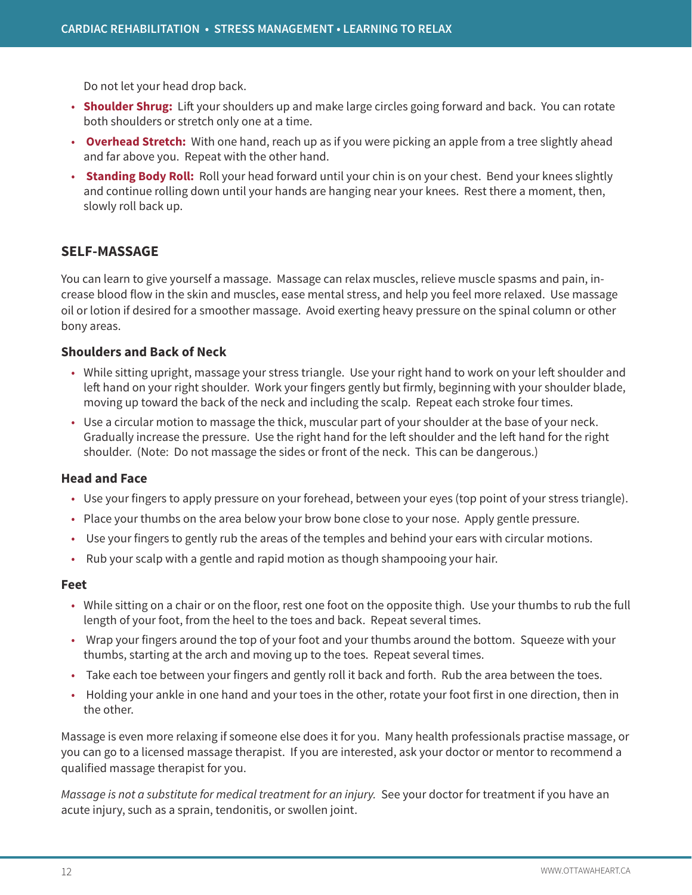Do not let your head drop back.

- **Shoulder Shrug:** Lift your shoulders up and make large circles going forward and back. You can rotate both shoulders or stretch only one at a time.
- **Overhead Stretch:** With one hand, reach up as if you were picking an apple from a tree slightly ahead and far above you. Repeat with the other hand.
- **Standing Body Roll:** Roll your head forward until your chin is on your chest. Bend your knees slightly and continue rolling down until your hands are hanging near your knees. Rest there a moment, then, slowly roll back up.

### **SELF-MASSAGE**

You can learn to give yourself a massage. Massage can relax muscles, relieve muscle spasms and pain, increase blood flow in the skin and muscles, ease mental stress, and help you feel more relaxed. Use massage oil or lotion if desired for a smoother massage. Avoid exerting heavy pressure on the spinal column or other bony areas.

#### **Shoulders and Back of Neck**

- While sitting upright, massage your stress triangle. Use your right hand to work on your left shoulder and left hand on your right shoulder. Work your fingers gently but firmly, beginning with your shoulder blade, moving up toward the back of the neck and including the scalp. Repeat each stroke four times.
- Use a circular motion to massage the thick, muscular part of your shoulder at the base of your neck. Gradually increase the pressure. Use the right hand for the left shoulder and the left hand for the right shoulder. (Note: Do not massage the sides or front of the neck. This can be dangerous.)

#### **Head and Face**

- Use your fingers to apply pressure on your forehead, between your eyes (top point of your stress triangle).
- Place your thumbs on the area below your brow bone close to your nose. Apply gentle pressure.
- Use your fingers to gently rub the areas of the temples and behind your ears with circular motions.
- Rub your scalp with a gentle and rapid motion as though shampooing your hair.

#### **Feet**

- While sitting on a chair or on the floor, rest one foot on the opposite thigh. Use your thumbs to rub the full length of your foot, from the heel to the toes and back. Repeat several times.
- Wrap your fingers around the top of your foot and your thumbs around the bottom. Squeeze with your thumbs, starting at the arch and moving up to the toes. Repeat several times.
- Take each toe between your fingers and gently roll it back and forth. Rub the area between the toes.
- Holding your ankle in one hand and your toes in the other, rotate your foot first in one direction, then in the other.

Massage is even more relaxing if someone else does it for you. Many health professionals practise massage, or you can go to a licensed massage therapist. If you are interested, ask your doctor or mentor to recommend a qualified massage therapist for you.

*Massage is not a substitute for medical treatment for an injury.* See your doctor for treatment if you have an acute injury, such as a sprain, tendonitis, or swollen joint.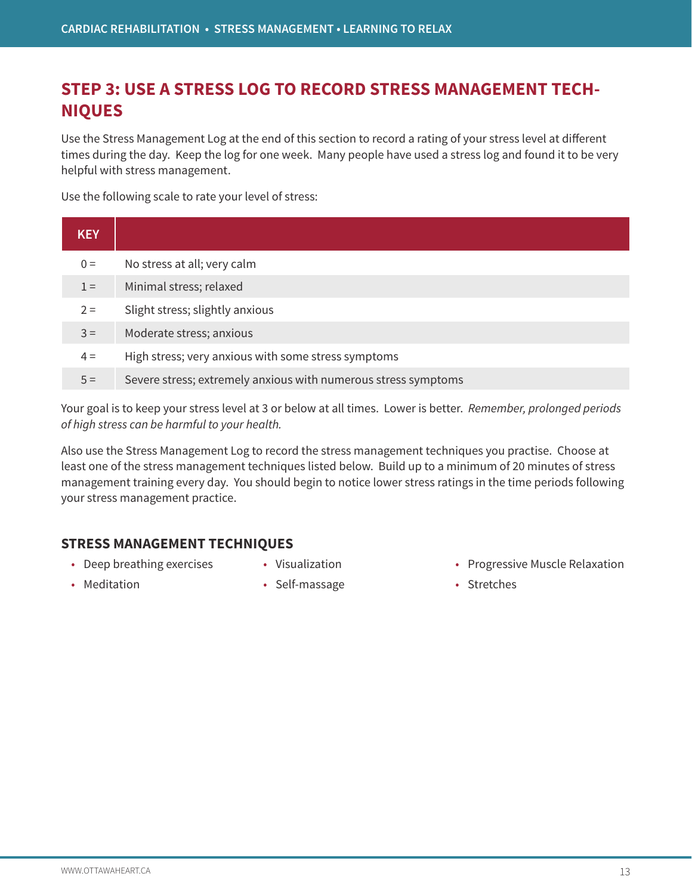# **STEP 3: USE A STRESS LOG TO RECORD STRESS MANAGEMENT TECH-NIQUES**

Use the Stress Management Log at the end of this section to record a rating of your stress level at different times during the day. Keep the log for one week. Many people have used a stress log and found it to be very helpful with stress management.

Use the following scale to rate your level of stress:

| <b>KEY</b> |                                                                |
|------------|----------------------------------------------------------------|
| $0 =$      | No stress at all; very calm                                    |
| $1 =$      | Minimal stress; relaxed                                        |
| $2 =$      | Slight stress; slightly anxious                                |
| $3 =$      | Moderate stress; anxious                                       |
| $4 =$      | High stress; very anxious with some stress symptoms            |
| $5 =$      | Severe stress; extremely anxious with numerous stress symptoms |

Your goal is to keep your stress level at 3 or below at all times. Lower is better. *Remember, prolonged periods of high stress can be harmful to your health.*

Also use the Stress Management Log to record the stress management techniques you practise. Choose at least one of the stress management techniques listed below. Build up to a minimum of 20 minutes of stress management training every day. You should begin to notice lower stress ratings in the time periods following your stress management practice.

# **STRESS MANAGEMENT TECHNIQUES**

- Deep breathing exercises
- Visualization

• Meditation

• Self-massage

- Progressive Muscle Relaxation
- Stretches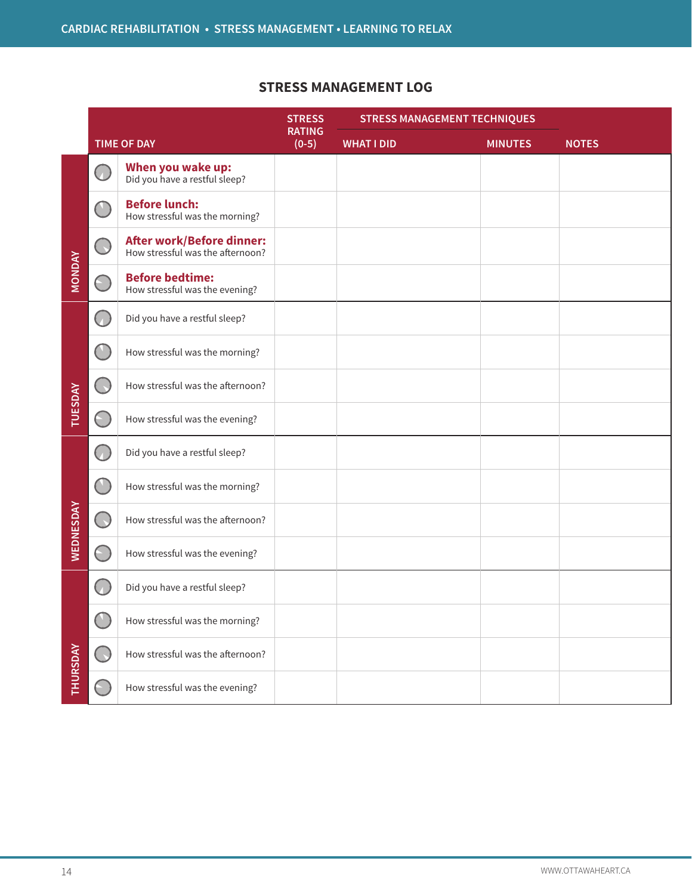# **STRESS MANAGEMENT LOG**

|                | <b>TIME OF DAY</b>                                                                  |                                                                      | <b>STRESS</b>            | <b>STRESS MANAGEMENT TECHNIQUES</b> |                |              |  |
|----------------|-------------------------------------------------------------------------------------|----------------------------------------------------------------------|--------------------------|-------------------------------------|----------------|--------------|--|
|                |                                                                                     |                                                                      | <b>RATING</b><br>$(0-5)$ | <b>WHAT I DID</b>                   | <b>MINUTES</b> | <b>NOTES</b> |  |
|                | U.                                                                                  | <b>When you wake up:</b><br>Did you have a restful sleep?            |                          |                                     |                |              |  |
|                |                                                                                     | <b>Before lunch:</b><br>How stressful was the morning?               |                          |                                     |                |              |  |
|                |                                                                                     | <b>After work/Before dinner:</b><br>How stressful was the afternoon? |                          |                                     |                |              |  |
| <b>MONDAY</b>  |                                                                                     | <b>Before bedtime:</b><br>How stressful was the evening?             |                          |                                     |                |              |  |
|                | $\left(\begin{smallmatrix} \cdot & \cdot \\ \cdot & \cdot \end{smallmatrix}\right)$ | Did you have a restful sleep?                                        |                          |                                     |                |              |  |
|                |                                                                                     | How stressful was the morning?                                       |                          |                                     |                |              |  |
|                | - C                                                                                 | How stressful was the afternoon?                                     |                          |                                     |                |              |  |
| <b>TUESDAY</b> |                                                                                     | How stressful was the evening?                                       |                          |                                     |                |              |  |
|                | 65                                                                                  | Did you have a restful sleep?                                        |                          |                                     |                |              |  |
|                |                                                                                     | How stressful was the morning?                                       |                          |                                     |                |              |  |
| WEDNESDAY      | $(\cdot)$                                                                           | How stressful was the afternoon?                                     |                          |                                     |                |              |  |
|                | $(\text{--})$                                                                       | How stressful was the evening?                                       |                          |                                     |                |              |  |
|                |                                                                                     | Did you have a restful sleep?                                        |                          |                                     |                |              |  |
|                |                                                                                     | How stressful was the morning?                                       |                          |                                     |                |              |  |
| THURSDAY       | $\Box$                                                                              | How stressful was the afternoon?                                     |                          |                                     |                |              |  |
|                | $(\text{ } )$                                                                       | How stressful was the evening?                                       |                          |                                     |                |              |  |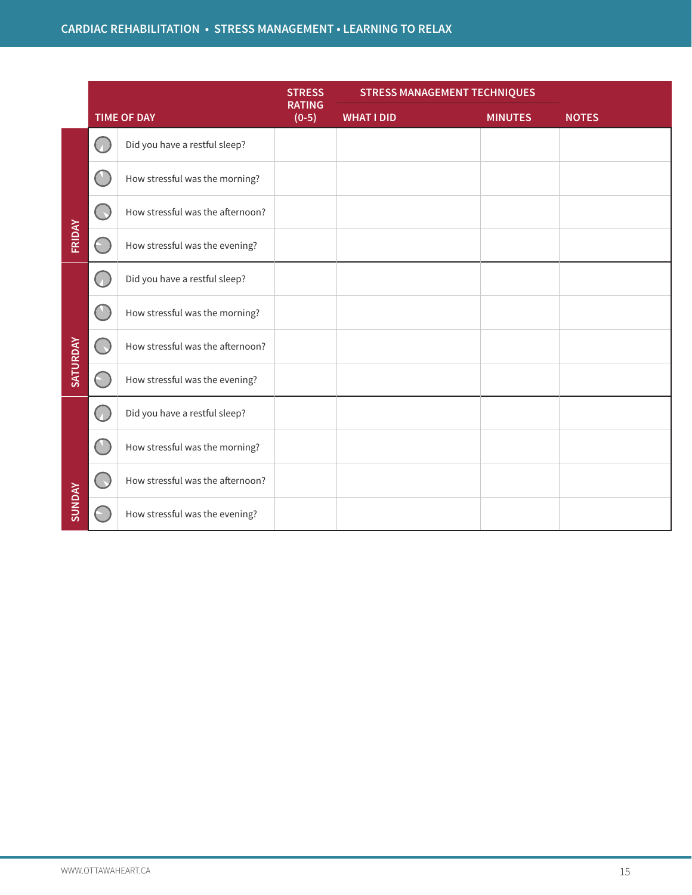|               | <b>TIME OF DAY</b>                                  |                                  | <b>STRESS</b>            | <b>STRESS MANAGEMENT TECHNIQUES</b> |                |              |
|---------------|-----------------------------------------------------|----------------------------------|--------------------------|-------------------------------------|----------------|--------------|
|               |                                                     |                                  | <b>RATING</b><br>$(0-5)$ | <b>WHAT I DID</b>                   | <b>MINUTES</b> | <b>NOTES</b> |
|               | $\left( \begin{array}{c} \cdot \end{array} \right)$ | Did you have a restful sleep?    |                          |                                     |                |              |
|               | æ                                                   | How stressful was the morning?   |                          |                                     |                |              |
|               | O.                                                  | How stressful was the afternoon? |                          |                                     |                |              |
| FRIDAY        | $(\text{ } \cdot \text{)}$                          | How stressful was the evening?   |                          |                                     |                |              |
|               | Œ                                                   | Did you have a restful sleep?    |                          |                                     |                |              |
|               | $(\top)$                                            | How stressful was the morning?   |                          |                                     |                |              |
| SATURDAY      | 0                                                   | How stressful was the afternoon? |                          |                                     |                |              |
|               |                                                     | How stressful was the evening?   |                          |                                     |                |              |
|               | b.                                                  | Did you have a restful sleep?    |                          |                                     |                |              |
|               | $\begin{matrix} \bullet & \bullet \end{matrix}$     | How stressful was the morning?   |                          |                                     |                |              |
|               | $\Box$                                              | How stressful was the afternoon? |                          |                                     |                |              |
| <b>SUNDAY</b> |                                                     | How stressful was the evening?   |                          |                                     |                |              |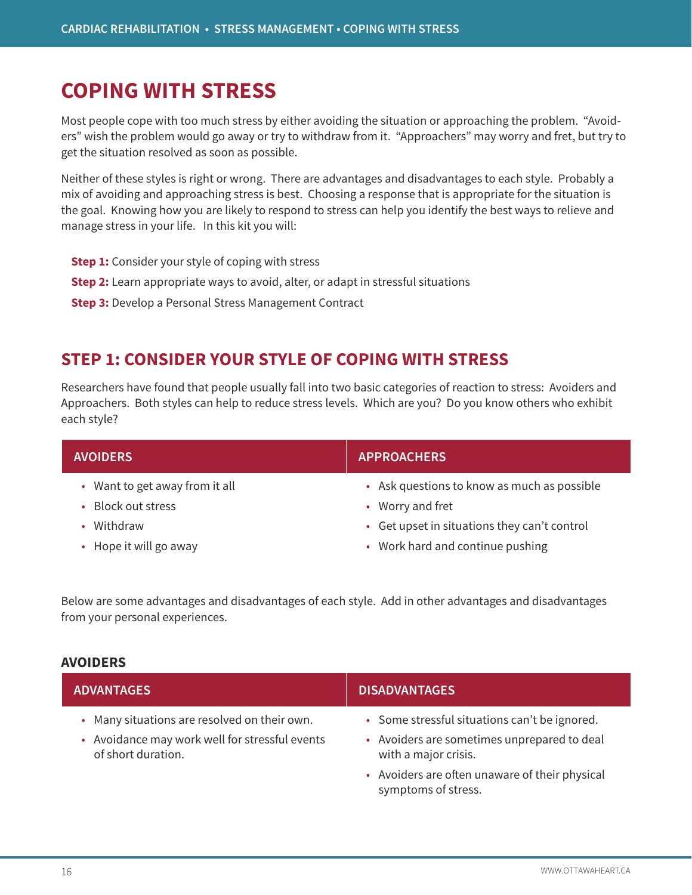# **COPING WITH STRESS**

Most people cope with too much stress by either avoiding the situation or approaching the problem. "Avoiders" wish the problem would go away or try to withdraw from it. "Approachers" may worry and fret, but try to get the situation resolved as soon as possible.

Neither of these styles is right or wrong. There are advantages and disadvantages to each style. Probably a mix of avoiding and approaching stress is best. Choosing a response that is appropriate for the situation is the goal. Knowing how you are likely to respond to stress can help you identify the best ways to relieve and manage stress in your life. In this kit you will:

- **Step 1:** Consider your style of coping with stress
- **Step 2:** Learn appropriate ways to avoid, alter, or adapt in stressful situations
- **Step 3:** Develop a Personal Stress Management Contract

# **STEP 1: CONSIDER YOUR STYLE OF COPING WITH STRESS**

Researchers have found that people usually fall into two basic categories of reaction to stress: Avoiders and Approachers. Both styles can help to reduce stress levels. Which are you? Do you know others who exhibit each style?

| <b>AVOIDERS</b>                                                    | <b>APPROACHERS</b>                                                                                              |
|--------------------------------------------------------------------|-----------------------------------------------------------------------------------------------------------------|
| • Want to get away from it all<br>• Block out stress<br>• Withdraw | • Ask questions to know as much as possible<br>• Worry and fret<br>• Get upset in situations they can't control |
| • Hope it will go away                                             | • Work hard and continue pushing                                                                                |

Below are some advantages and disadvantages of each style. Add in other advantages and disadvantages from your personal experiences.

#### **AVOIDERS**

| <b>ADVANTAGES</b>                                                                                                    | <b>DISADVANTAGES</b>                                                                                                                                                                          |
|----------------------------------------------------------------------------------------------------------------------|-----------------------------------------------------------------------------------------------------------------------------------------------------------------------------------------------|
| • Many situations are resolved on their own.<br>• Avoidance may work well for stressful events<br>of short duration. | • Some stressful situations can't be ignored.<br>• Avoiders are sometimes unprepared to deal<br>with a major crisis.<br>• Avoiders are often unaware of their physical<br>symptoms of stress. |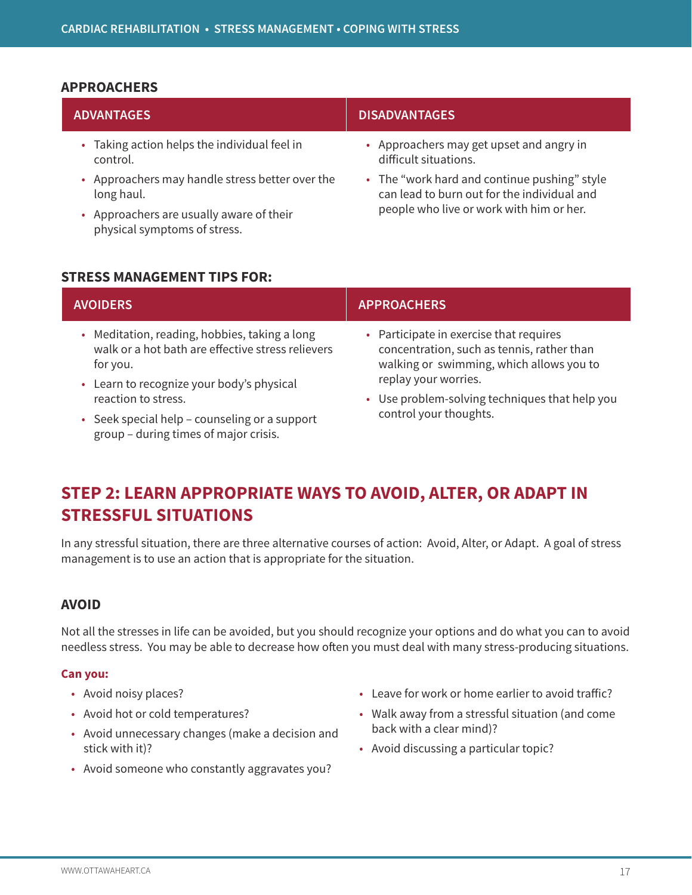#### **APPROACHERS**

| <b>ADVANTAGES</b>                                             | <b>DISADVANTAGES</b>                                                                                                                    |
|---------------------------------------------------------------|-----------------------------------------------------------------------------------------------------------------------------------------|
| • Taking action helps the individual feel in<br>control.      | • Approachers may get upset and angry in<br>difficult situations.                                                                       |
| • Approachers may handle stress better over the<br>long haul. | • The "work hard and continue pushing" style<br>can lead to burn out for the individual and<br>people who live or work with him or her. |
| Approachers are usually aware of their                        |                                                                                                                                         |

### **STRESS MANAGEMENT TIPS FOR:**

physical symptoms of stress.

| <b>AVOIDERS</b>                                                                                                | <b>APPROACHERS</b>                                                                                                                |
|----------------------------------------------------------------------------------------------------------------|-----------------------------------------------------------------------------------------------------------------------------------|
| • Meditation, reading, hobbies, taking a long<br>walk or a hot bath are effective stress relievers<br>for you. | • Participate in exercise that requires<br>concentration, such as tennis, rather than<br>walking or swimming, which allows you to |
| • Learn to recognize your body's physical                                                                      | replay your worries.                                                                                                              |
| reaction to stress.                                                                                            | • Use problem-solving techniques that help you                                                                                    |
| • Seek special help - counseling or a support<br>group - during times of major crisis.                         | control your thoughts.                                                                                                            |

# **STEP 2: LEARN APPROPRIATE WAYS TO AVOID, ALTER, OR ADAPT IN STRESSFUL SITUATIONS**

In any stressful situation, there are three alternative courses of action: Avoid, Alter, or Adapt. A goal of stress management is to use an action that is appropriate for the situation.

### **AVOID**

Not all the stresses in life can be avoided, but you should recognize your options and do what you can to avoid needless stress. You may be able to decrease how often you must deal with many stress-producing situations.

#### **Can you:**

- Avoid noisy places?
- Avoid hot or cold temperatures?
- Avoid unnecessary changes (make a decision and stick with it)?
- Avoid someone who constantly aggravates you?
- Leave for work or home earlier to avoid traffic?
- Walk away from a stressful situation (and come back with a clear mind)?
- Avoid discussing a particular topic?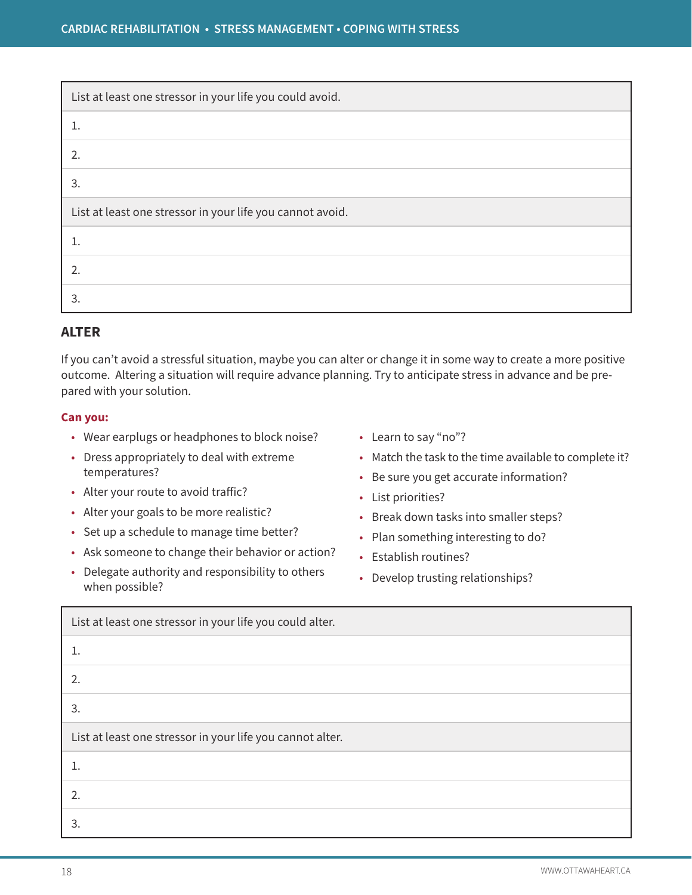| List at least one stressor in your life you could avoid.  |
|-----------------------------------------------------------|
|                                                           |
| 2.                                                        |
| 3.                                                        |
| List at least one stressor in your life you cannot avoid. |
|                                                           |
| 2.                                                        |
| 3.                                                        |

# **ALTER**

If you can't avoid a stressful situation, maybe you can alter or change it in some way to create a more positive outcome. Altering a situation will require advance planning. Try to anticipate stress in advance and be prepared with your solution.

#### **Can you:**

- Wear earplugs or headphones to block noise?
- Dress appropriately to deal with extreme temperatures?
- Alter your route to avoid traffic?
- Alter your goals to be more realistic?
- Set up a schedule to manage time better?
- Ask someone to change their behavior or action?
- Delegate authority and responsibility to others when possible?
- Learn to say "no"?
- Match the task to the time available to complete it?
- Be sure you get accurate information?
- List priorities?
- Break down tasks into smaller steps?
- Plan something interesting to do?
- Establish routines?
- Develop trusting relationships?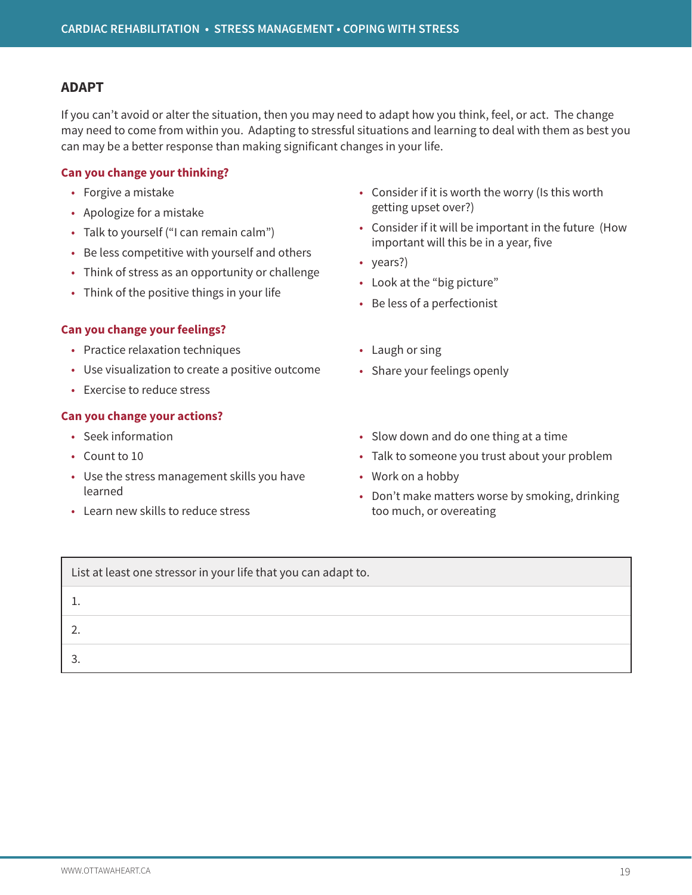### **ADAPT**

If you can't avoid or alter the situation, then you may need to adapt how you think, feel, or act. The change may need to come from within you. Adapting to stressful situations and learning to deal with them as best you can may be a better response than making significant changes in your life.

#### **Can you change your thinking?**

- Forgive a mistake
- Apologize for a mistake
- Talk to yourself ("I can remain calm")
- Be less competitive with yourself and others
- Think of stress as an opportunity or challenge
- Think of the positive things in your life

#### **Can you change your feelings?**

- Practice relaxation techniques
- Use visualization to create a positive outcome
- Exercise to reduce stress

### **Can you change your actions?**

- Seek information
- Count to 10
- Use the stress management skills you have learned
- Learn new skills to reduce stress
- Consider if it is worth the worry (Is this worth getting upset over?)
- Consider if it will be important in the future (How important will this be in a year, five
- years?)
- Look at the "big picture"
- Be less of a perfectionist
- Laugh or sing
- Share your feelings openly
- Slow down and do one thing at a time
- Talk to someone you trust about your problem
- Work on a hobby
- Don't make matters worse by smoking, drinking too much, or overeating

| List at least one stressor in your life that you can adapt to. |
|----------------------------------------------------------------|
|                                                                |
|                                                                |
|                                                                |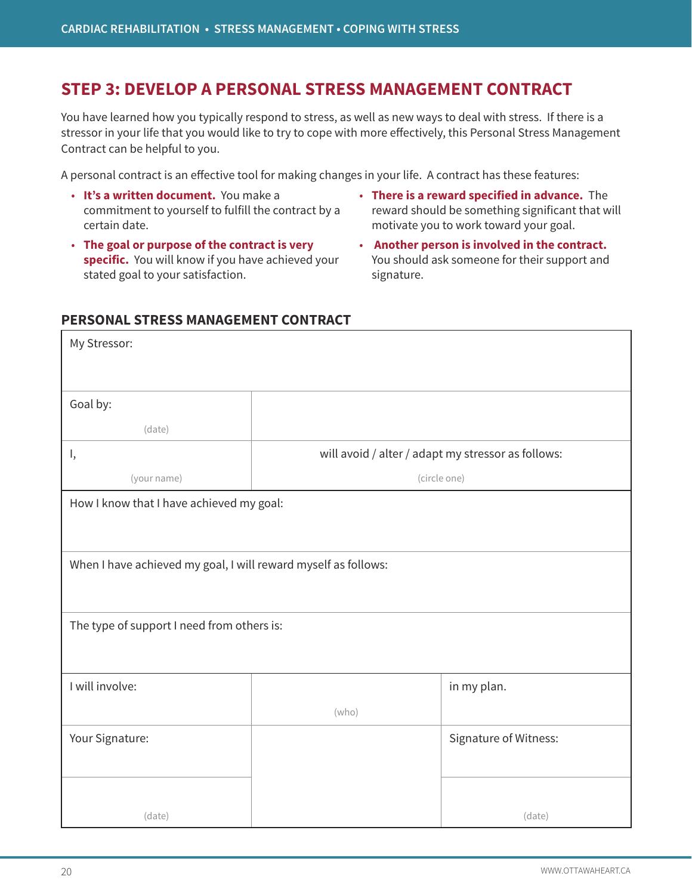# **STEP 3: DEVELOP A PERSONAL STRESS MANAGEMENT CONTRACT**

You have learned how you typically respond to stress, as well as new ways to deal with stress. If there is a stressor in your life that you would like to try to cope with more effectively, this Personal Stress Management Contract can be helpful to you.

A personal contract is an effective tool for making changes in your life. A contract has these features:

- **It's a written document.** You make a commitment to yourself to fulfill the contract by a certain date.
- **The goal or purpose of the contract is very specific.** You will know if you have achieved your stated goal to your satisfaction.
- **There is a reward specified in advance.** The reward should be something significant that will motivate you to work toward your goal.
- **Another person is involved in the contract.** You should ask someone for their support and signature.

### **PERSONAL STRESS MANAGEMENT CONTRACT**

| My Stressor:                                                   |                                                    |                       |
|----------------------------------------------------------------|----------------------------------------------------|-----------------------|
|                                                                |                                                    |                       |
| Goal by:                                                       |                                                    |                       |
|                                                                |                                                    |                       |
| (date)                                                         |                                                    |                       |
| ١,                                                             | will avoid / alter / adapt my stressor as follows: |                       |
| (your name)                                                    | (circle one)                                       |                       |
| How I know that I have achieved my goal:                       |                                                    |                       |
|                                                                |                                                    |                       |
|                                                                |                                                    |                       |
| When I have achieved my goal, I will reward myself as follows: |                                                    |                       |
|                                                                |                                                    |                       |
|                                                                |                                                    |                       |
| The type of support I need from others is:                     |                                                    |                       |
|                                                                |                                                    |                       |
|                                                                |                                                    |                       |
| I will involve:                                                |                                                    | in my plan.           |
|                                                                | (who)                                              |                       |
| Your Signature:                                                |                                                    | Signature of Witness: |
|                                                                |                                                    |                       |
|                                                                |                                                    |                       |
|                                                                |                                                    |                       |
| (date)                                                         |                                                    | (date)                |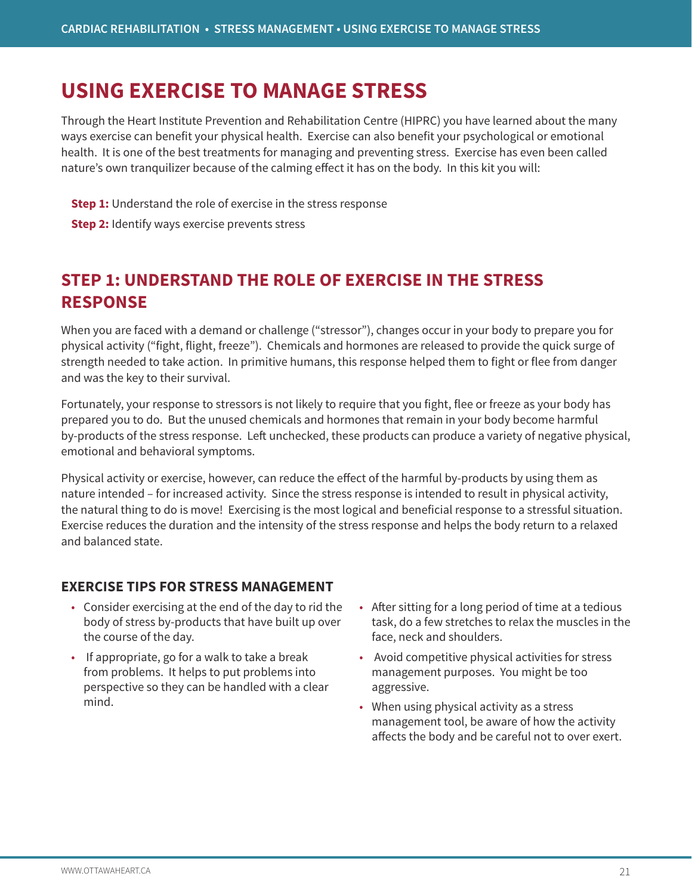# **USING EXERCISE TO MANAGE STRESS**

Through the Heart Institute Prevention and Rehabilitation Centre (HIPRC) you have learned about the many ways exercise can benefit your physical health. Exercise can also benefit your psychological or emotional health. It is one of the best treatments for managing and preventing stress. Exercise has even been called nature's own tranquilizer because of the calming effect it has on the body. In this kit you will:

- **Step 1:** Understand the role of exercise in the stress response
- **Step 2:** Identify ways exercise prevents stress

# **STEP 1: UNDERSTAND THE ROLE OF EXERCISE IN THE STRESS RESPONSE**

When you are faced with a demand or challenge ("stressor"), changes occur in your body to prepare you for physical activity ("fight, flight, freeze"). Chemicals and hormones are released to provide the quick surge of strength needed to take action. In primitive humans, this response helped them to fight or flee from danger and was the key to their survival.

Fortunately, your response to stressors is not likely to require that you fight, flee or freeze as your body has prepared you to do. But the unused chemicals and hormones that remain in your body become harmful by-products of the stress response. Left unchecked, these products can produce a variety of negative physical, emotional and behavioral symptoms.

Physical activity or exercise, however, can reduce the effect of the harmful by-products by using them as nature intended – for increased activity. Since the stress response is intended to result in physical activity, the natural thing to do is move! Exercising is the most logical and beneficial response to a stressful situation. Exercise reduces the duration and the intensity of the stress response and helps the body return to a relaxed and balanced state.

# **EXERCISE TIPS FOR STRESS MANAGEMENT**

- Consider exercising at the end of the day to rid the body of stress by-products that have built up over the course of the day.
- If appropriate, go for a walk to take a break from problems. It helps to put problems into perspective so they can be handled with a clear mind.
- After sitting for a long period of time at a tedious task, do a few stretches to relax the muscles in the face, neck and shoulders.
- Avoid competitive physical activities for stress management purposes. You might be too aggressive.
- When using physical activity as a stress management tool, be aware of how the activity affects the body and be careful not to over exert.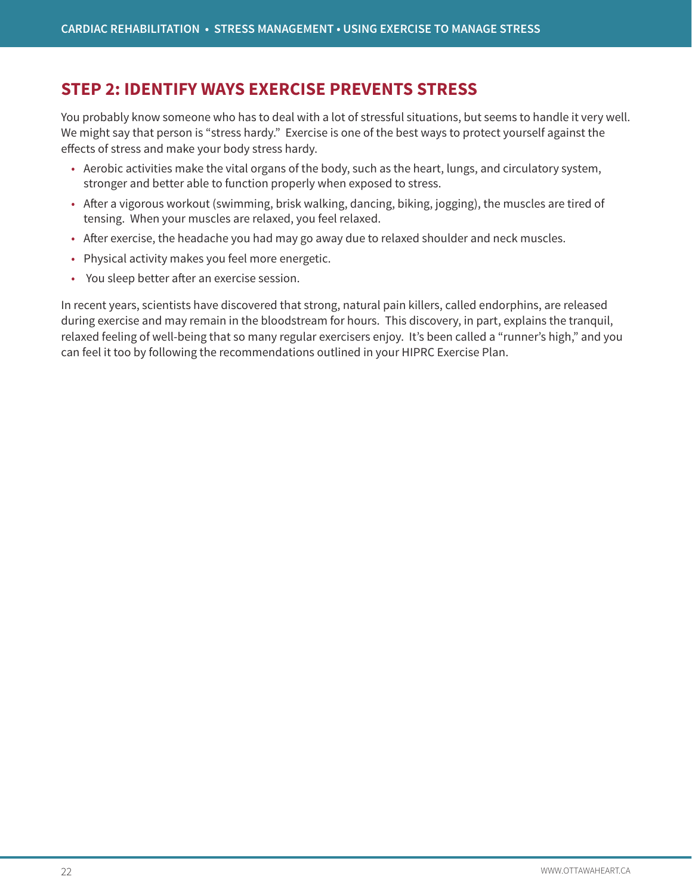# **STEP 2: IDENTIFY WAYS EXERCISE PREVENTS STRESS**

You probably know someone who has to deal with a lot of stressful situations, but seems to handle it very well. We might say that person is "stress hardy." Exercise is one of the best ways to protect yourself against the effects of stress and make your body stress hardy.

- Aerobic activities make the vital organs of the body, such as the heart, lungs, and circulatory system, stronger and better able to function properly when exposed to stress.
- After a vigorous workout (swimming, brisk walking, dancing, biking, jogging), the muscles are tired of tensing. When your muscles are relaxed, you feel relaxed.
- After exercise, the headache you had may go away due to relaxed shoulder and neck muscles.
- Physical activity makes you feel more energetic.
- You sleep better after an exercise session.

In recent years, scientists have discovered that strong, natural pain killers, called endorphins, are released during exercise and may remain in the bloodstream for hours. This discovery, in part, explains the tranquil, relaxed feeling of well-being that so many regular exercisers enjoy. It's been called a "runner's high," and you can feel it too by following the recommendations outlined in your HIPRC Exercise Plan.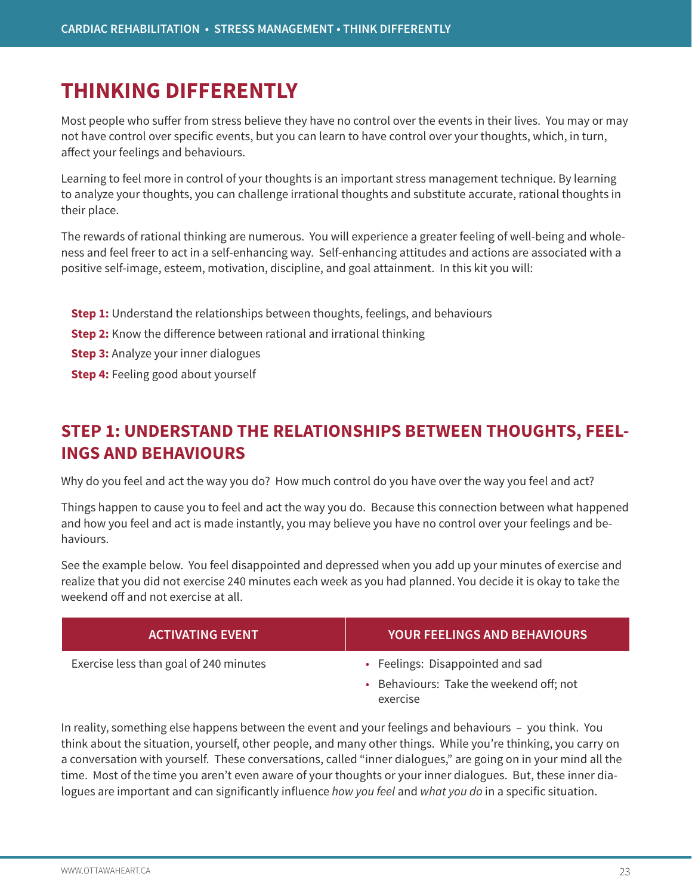# **THINKING DIFFERENTLY**

Most people who suffer from stress believe they have no control over the events in their lives. You may or may not have control over specific events, but you can learn to have control over your thoughts, which, in turn, affect your feelings and behaviours.

Learning to feel more in control of your thoughts is an important stress management technique. By learning to analyze your thoughts, you can challenge irrational thoughts and substitute accurate, rational thoughts in their place.

The rewards of rational thinking are numerous. You will experience a greater feeling of well-being and wholeness and feel freer to act in a self-enhancing way. Self-enhancing attitudes and actions are associated with a positive self-image, esteem, motivation, discipline, and goal attainment. In this kit you will:

- **Step 1:** Understand the relationships between thoughts, feelings, and behaviours
- **Step 2:** Know the difference between rational and irrational thinking
- **Step 3:** Analyze your inner dialogues
- **Step 4: Feeling good about yourself**

# **STEP 1: UNDERSTAND THE RELATIONSHIPS BETWEEN THOUGHTS, FEEL-INGS AND BEHAVIOURS**

Why do you feel and act the way you do? How much control do you have over the way you feel and act?

Things happen to cause you to feel and act the way you do. Because this connection between what happened and how you feel and act is made instantly, you may believe you have no control over your feelings and behaviours.

See the example below. You feel disappointed and depressed when you add up your minutes of exercise and realize that you did not exercise 240 minutes each week as you had planned. You decide it is okay to take the weekend off and not exercise at all.

| <b>ACTIVATING EVENT</b>                | <b>YOUR FEELINGS AND BEHAVIOURS</b>                 |
|----------------------------------------|-----------------------------------------------------|
| Exercise less than goal of 240 minutes | • Feelings: Disappointed and sad                    |
|                                        | • Behaviours: Take the weekend off; not<br>exercise |

In reality, something else happens between the event and your feelings and behaviours – you think. You think about the situation, yourself, other people, and many other things. While you're thinking, you carry on a conversation with yourself. These conversations, called "inner dialogues," are going on in your mind all the time. Most of the time you aren't even aware of your thoughts or your inner dialogues. But, these inner dialogues are important and can significantly influence *how you feel* and *what you do* in a specific situation.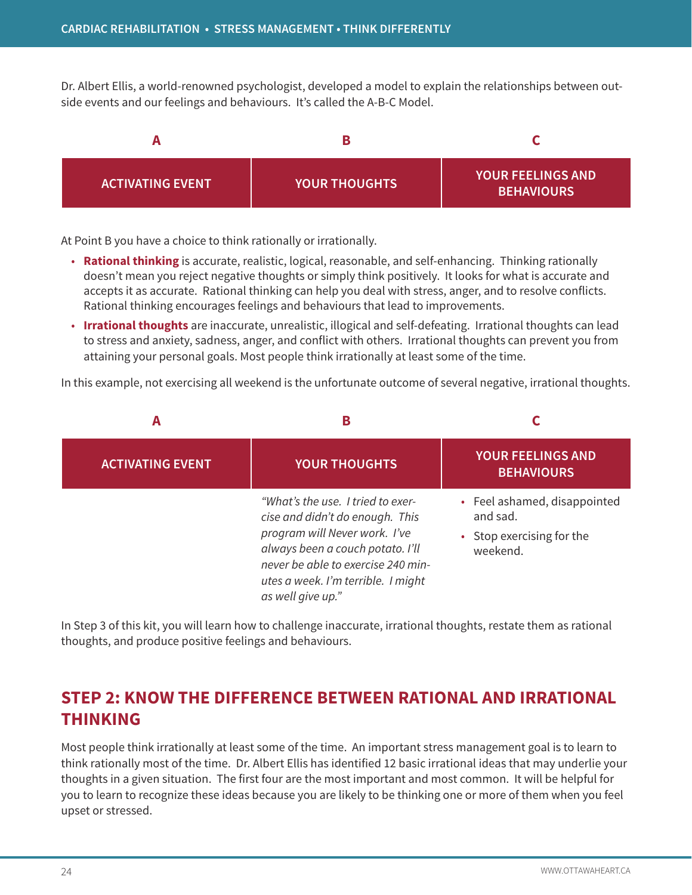Dr. Albert Ellis, a world-renowned psychologist, developed a model to explain the relationships between outside events and our feelings and behaviours. It's called the A-B-C Model.



At Point B you have a choice to think rationally or irrationally.

- **Rational thinking** is accurate, realistic, logical, reasonable, and self-enhancing. Thinking rationally doesn't mean you reject negative thoughts or simply think positively. It looks for what is accurate and accepts it as accurate. Rational thinking can help you deal with stress, anger, and to resolve conflicts. Rational thinking encourages feelings and behaviours that lead to improvements.
- **Irrational thoughts** are inaccurate, unrealistic, illogical and self-defeating. Irrational thoughts can lead to stress and anxiety, sadness, anger, and conflict with others. Irrational thoughts can prevent you from attaining your personal goals. Most people think irrationally at least some of the time.

In this example, not exercising all weekend is the unfortunate outcome of several negative, irrational thoughts.

| A                       | в                                                                                                                                                                                                                                          |                                                                                   |
|-------------------------|--------------------------------------------------------------------------------------------------------------------------------------------------------------------------------------------------------------------------------------------|-----------------------------------------------------------------------------------|
| <b>ACTIVATING EVENT</b> | <b>YOUR THOUGHTS</b>                                                                                                                                                                                                                       | <b>YOUR FEELINGS AND</b><br><b>BEHAVIOURS</b>                                     |
|                         | "What's the use. I tried to exer-<br>cise and didn't do enough. This<br>program will Never work. I've<br>always been a couch potato. I'll<br>never be able to exercise 240 min-<br>utes a week. I'm terrible. I might<br>as well give up." | • Feel ashamed, disappointed<br>and sad.<br>• Stop exercising for the<br>weekend. |

In Step 3 of this kit, you will learn how to challenge inaccurate, irrational thoughts, restate them as rational thoughts, and produce positive feelings and behaviours.

# **STEP 2: KNOW THE DIFFERENCE BETWEEN RATIONAL AND IRRATIONAL THINKING**

Most people think irrationally at least some of the time. An important stress management goal is to learn to think rationally most of the time. Dr. Albert Ellis has identified 12 basic irrational ideas that may underlie your thoughts in a given situation. The first four are the most important and most common. It will be helpful for you to learn to recognize these ideas because you are likely to be thinking one or more of them when you feel upset or stressed.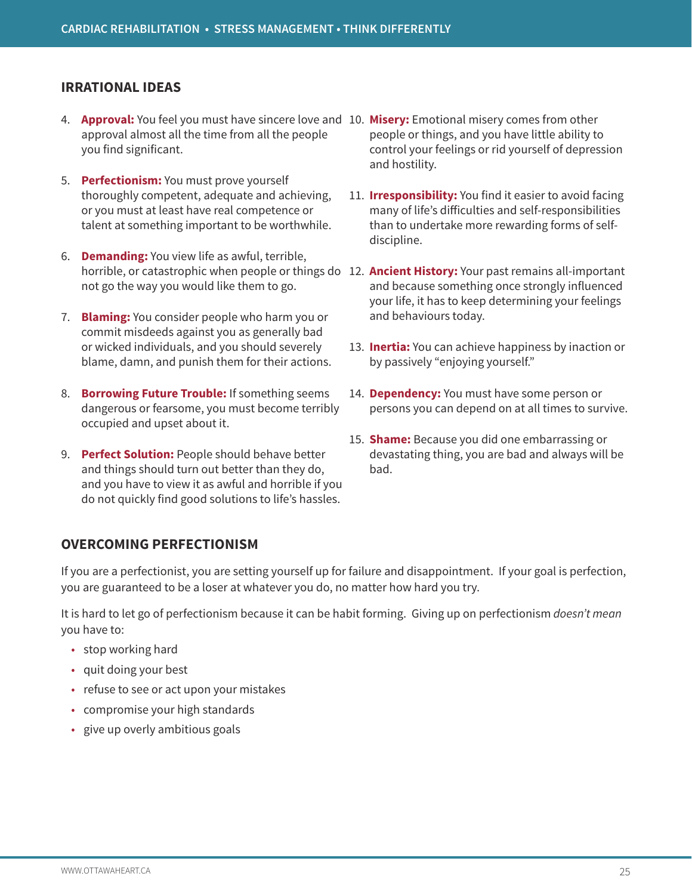### **IRRATIONAL IDEAS**

- 4. **Approval:** You feel you must have sincere love and 10. **Misery:** Emotional misery comes from other approval almost all the time from all the people you find significant.
- 5. **Perfectionism:** You must prove yourself thoroughly competent, adequate and achieving, or you must at least have real competence or talent at something important to be worthwhile.
- 6. **Demanding:** You view life as awful, terrible, not go the way you would like them to go.
- 7. **Blaming:** You consider people who harm you or commit misdeeds against you as generally bad or wicked individuals, and you should severely blame, damn, and punish them for their actions.
- 8. **Borrowing Future Trouble:** If something seems dangerous or fearsome, you must become terribly occupied and upset about it.
- 9. **Perfect Solution:** People should behave better and things should turn out better than they do, and you have to view it as awful and horrible if you do not quickly find good solutions to life's hassles.
- people or things, and you have little ability to control your feelings or rid yourself of depression and hostility.
- 11. **Irresponsibility:** You find it easier to avoid facing many of life's difficulties and self-responsibilities than to undertake more rewarding forms of selfdiscipline.
- horrible, or catastrophic when people or things do 12. **Ancient History:** Your past remains all-important and because something once strongly influenced your life, it has to keep determining your feelings and behaviours today.
	- 13. **Inertia:** You can achieve happiness by inaction or by passively "enjoying yourself."
	- 14. **Dependency:** You must have some person or persons you can depend on at all times to survive.
	- 15. **Shame:** Because you did one embarrassing or devastating thing, you are bad and always will be bad.

# **OVERCOMING PERFECTIONISM**

If you are a perfectionist, you are setting yourself up for failure and disappointment. If your goal is perfection, you are guaranteed to be a loser at whatever you do, no matter how hard you try.

It is hard to let go of perfectionism because it can be habit forming. Giving up on perfectionism *doesn't mean*  you have to:

- stop working hard
- quit doing your best
- refuse to see or act upon your mistakes
- compromise your high standards
- give up overly ambitious goals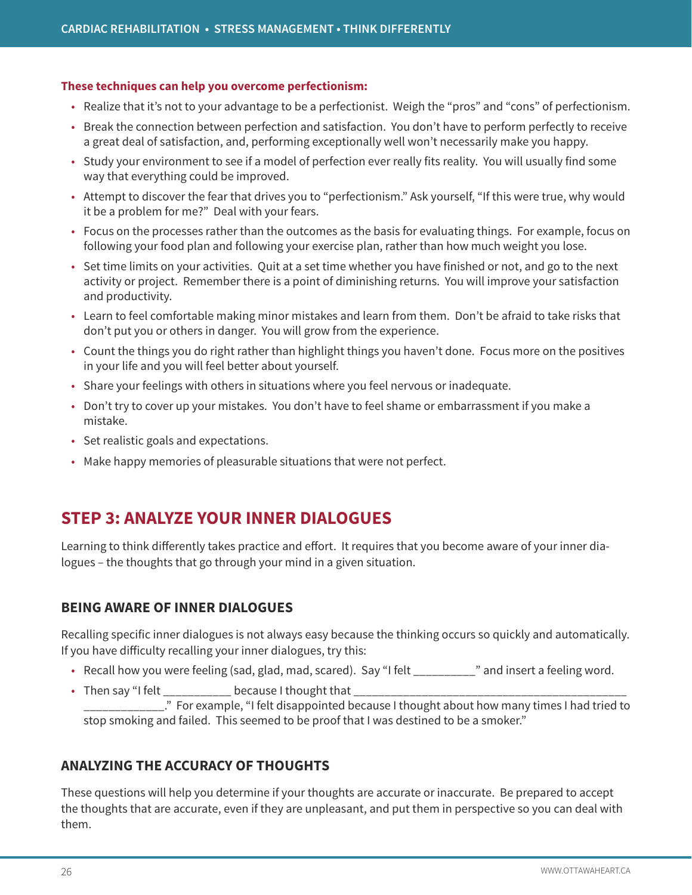#### **These techniques can help you overcome perfectionism:**

- Realize that it's not to your advantage to be a perfectionist. Weigh the "pros" and "cons" of perfectionism.
- Break the connection between perfection and satisfaction. You don't have to perform perfectly to receive a great deal of satisfaction, and, performing exceptionally well won't necessarily make you happy.
- Study your environment to see if a model of perfection ever really fits reality. You will usually find some way that everything could be improved.
- Attempt to discover the fear that drives you to "perfectionism." Ask yourself, "If this were true, why would it be a problem for me?" Deal with your fears.
- Focus on the processes rather than the outcomes as the basis for evaluating things. For example, focus on following your food plan and following your exercise plan, rather than how much weight you lose.
- Set time limits on your activities. Quit at a set time whether you have finished or not, and go to the next activity or project. Remember there is a point of diminishing returns. You will improve your satisfaction and productivity.
- Learn to feel comfortable making minor mistakes and learn from them. Don't be afraid to take risks that don't put you or others in danger. You will grow from the experience.
- Count the things you do right rather than highlight things you haven't done. Focus more on the positives in your life and you will feel better about yourself.
- Share your feelings with others in situations where you feel nervous or inadequate.
- Don't try to cover up your mistakes. You don't have to feel shame or embarrassment if you make a mistake.
- Set realistic goals and expectations.
- Make happy memories of pleasurable situations that were not perfect.

# **STEP 3: ANALYZE YOUR INNER DIALOGUES**

Learning to think differently takes practice and effort. It requires that you become aware of your inner dialogues – the thoughts that go through your mind in a given situation.

# **BEING AWARE OF INNER DIALOGUES**

Recalling specific inner dialogues is not always easy because the thinking occurs so quickly and automatically. If you have difficulty recalling your inner dialogues, try this:

- Recall how you were feeling (sad, glad, mad, scared). Say "I felt \_\_\_\_\_\_\_\_\_\_" and insert a feeling word.
- Then say "I felt \_\_\_\_\_\_\_\_\_\_\_\_\_\_\_ because I thought that \_\_ \_\_\_\_\_\_\_\_\_\_\_\_\_." For example, "I felt disappointed because I thought about how many times I had tried to stop smoking and failed. This seemed to be proof that I was destined to be a smoker."

# **ANALYZING THE ACCURACY OF THOUGHTS**

These questions will help you determine if your thoughts are accurate or inaccurate. Be prepared to accept the thoughts that are accurate, even if they are unpleasant, and put them in perspective so you can deal with them.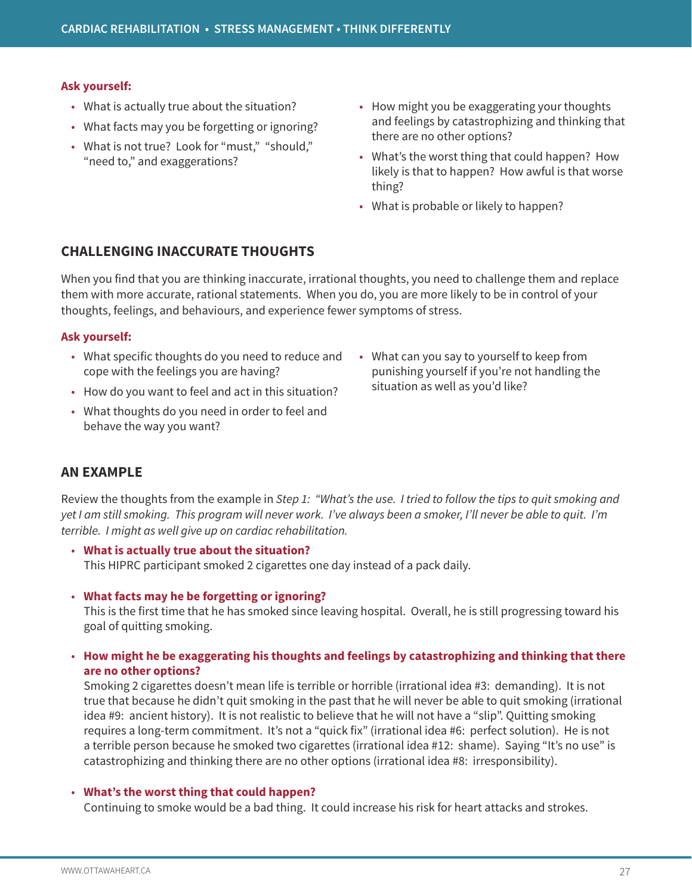#### **Ask yourself:**

- What is actually true about the situation?
- What facts may you be forgetting or ignoring?
- What is not true? Look for "must," "should," "need to," and exaggerations?
- How might you be exaggerating your thoughts and feelings by catastrophizing and thinking that there are no other options?
- What's the worst thing that could happen? How likely is that to happen? How awful is that worse thing?
- What is probable or likely to happen?

### **CHALLENGING INACCURATE THOUGHTS**

When you find that you are thinking inaccurate, irrational thoughts, you need to challenge them and replace them with more accurate, rational statements. When you do, you are more likely to be in control of your thoughts, feelings, and behaviours, and experience fewer symptoms of stress.

#### **Ask yourself:**

- What specific thoughts do you need to reduce and cope with the feelings you are having?
- How do you want to feel and act in this situation?
- What thoughts do you need in order to feel and behave the way you want?
- What can you say to yourself to keep from punishing yourself if you're not handling the situation as well as you'd like?

# **AN EXAMPLE**

Review the thoughts from the example in *Step 1: "What's the use. I tried to follow the tips to quit smoking and yet I am still smoking. This program will never work. I've always been a smoker, I'll never be able to quit. I'm terrible. I might as well give up on cardiac rehabilitation.*

- **What is actually true about the situation?** This HIPRC participant smoked 2 cigarettes one day instead of a pack daily.
- **What facts may he be forgetting or ignoring?**

This is the first time that he has smoked since leaving hospital. Overall, he is still progressing toward his goal of quitting smoking.

• **How might he be exaggerating his thoughts and feelings by catastrophizing and thinking that there are no other options?**

Smoking 2 cigarettes doesn't mean life is terrible or horrible (irrational idea #3: demanding). It is not true that because he didn't quit smoking in the past that he will never be able to quit smoking (irrational idea #9: ancient history). It is not realistic to believe that he will not have a "slip". Quitting smoking requires a long-term commitment. It's not a "quick fix" (irrational idea #6: perfect solution). He is not a terrible person because he smoked two cigarettes (irrational idea #12: shame). Saying "It's no use" is catastrophizing and thinking there are no other options (irrational idea #8: irresponsibility).

#### • **What's the worst thing that could happen?**

Continuing to smoke would be a bad thing. It could increase his risk for heart attacks and strokes.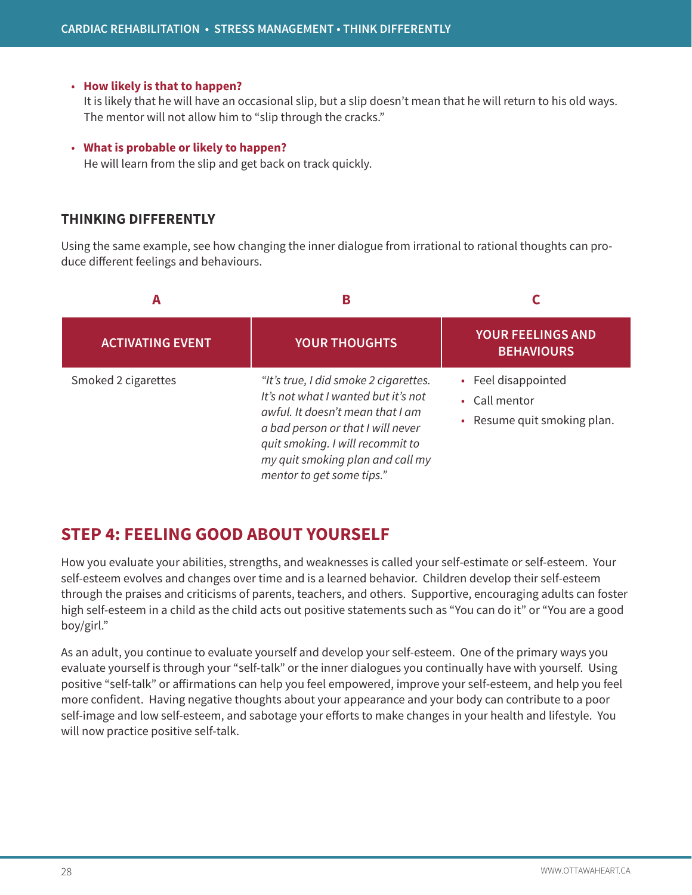#### • **How likely is that to happen?**

It is likely that he will have an occasional slip, but a slip doesn't mean that he will return to his old ways. The mentor will not allow him to "slip through the cracks."

#### • **What is probable or likely to happen?**

He will learn from the slip and get back on track quickly.

### **THINKING DIFFERENTLY**

Using the same example, see how changing the inner dialogue from irrational to rational thoughts can produce different feelings and behaviours.



# **STEP 4: FEELING GOOD ABOUT YOURSELF**

How you evaluate your abilities, strengths, and weaknesses is called your self-estimate or self-esteem. Your self-esteem evolves and changes over time and is a learned behavior. Children develop their self-esteem through the praises and criticisms of parents, teachers, and others. Supportive, encouraging adults can foster high self-esteem in a child as the child acts out positive statements such as "You can do it" or "You are a good boy/girl."

As an adult, you continue to evaluate yourself and develop your self-esteem. One of the primary ways you evaluate yourself is through your "self-talk" or the inner dialogues you continually have with yourself. Using positive "self-talk" or affirmations can help you feel empowered, improve your self-esteem, and help you feel more confident. Having negative thoughts about your appearance and your body can contribute to a poor self-image and low self-esteem, and sabotage your efforts to make changes in your health and lifestyle. You will now practice positive self-talk.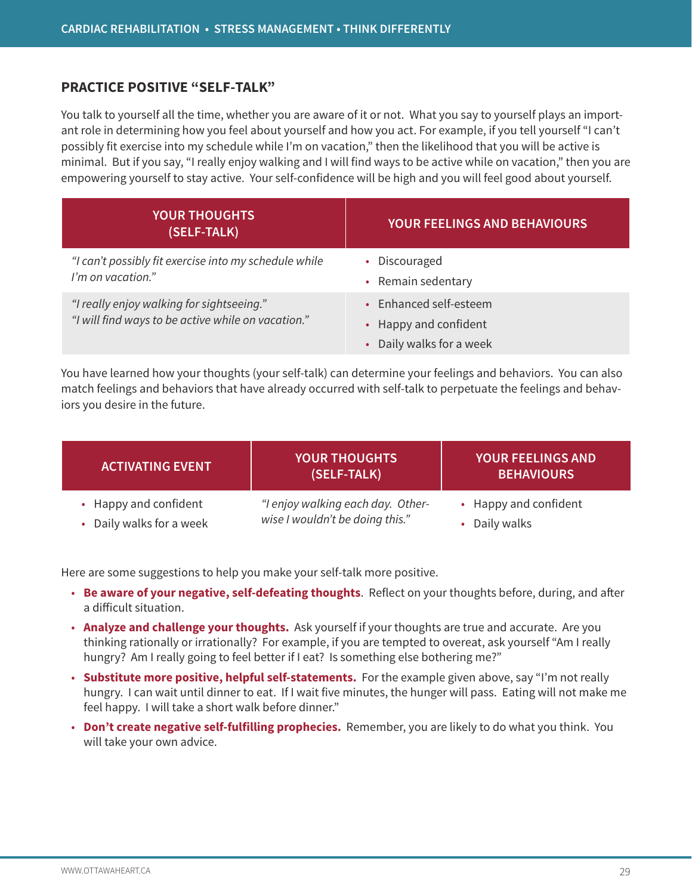### **PRACTICE POSITIVE "SELF-TALK"**

You talk to yourself all the time, whether you are aware of it or not. What you say to yourself plays an important role in determining how you feel about yourself and how you act. For example, if you tell yourself "I can't possibly fit exercise into my schedule while I'm on vacation," then the likelihood that you will be active is minimal. But if you say, "I really enjoy walking and I will find ways to be active while on vacation," then you are empowering yourself to stay active. Your self-confidence will be high and you will feel good about yourself.

| <b>YOUR THOUGHTS</b><br>(SELF-TALK)                                                             | <b>YOUR FEELINGS AND BEHAVIOURS</b>                                                    |
|-------------------------------------------------------------------------------------------------|----------------------------------------------------------------------------------------|
| "I can't possibly fit exercise into my schedule while<br>I'm on vacation."                      | • Discouraged<br>• Remain sedentary                                                    |
| "I really enjoy walking for sightseeing."<br>"I will find ways to be active while on vacation." | • Enhanced self-esteem<br>• Happy and confident<br>Daily walks for a week<br>$\bullet$ |

You have learned how your thoughts (your self-talk) can determine your feelings and behaviors. You can also match feelings and behaviors that have already occurred with self-talk to perpetuate the feelings and behaviors you desire in the future.

| <b>ACTIVATING EVENT</b>  | <b>YOUR THOUGHTS</b><br>(SELF-TALK) | <b>YOUR FEELINGS AND</b><br><b>BEHAVIOURS</b> |
|--------------------------|-------------------------------------|-----------------------------------------------|
| • Happy and confident    | "I enjoy walking each day. Other-   | • Happy and confident                         |
| • Daily walks for a week | wise I wouldn't be doing this."     | • Daily walks                                 |

Here are some suggestions to help you make your self-talk more positive.

- **Be aware of your negative, self-defeating thoughts**. Reflect on your thoughts before, during, and after a difficult situation.
- **Analyze and challenge your thoughts.** Ask yourself if your thoughts are true and accurate. Are you thinking rationally or irrationally? For example, if you are tempted to overeat, ask yourself "Am I really hungry? Am I really going to feel better if I eat? Is something else bothering me?"
- **Substitute more positive, helpful self-statements.** For the example given above, say "I'm not really hungry. I can wait until dinner to eat. If I wait five minutes, the hunger will pass. Eating will not make me feel happy. I will take a short walk before dinner."
- **Don't create negative self-fulfilling prophecies.** Remember, you are likely to do what you think. You will take your own advice.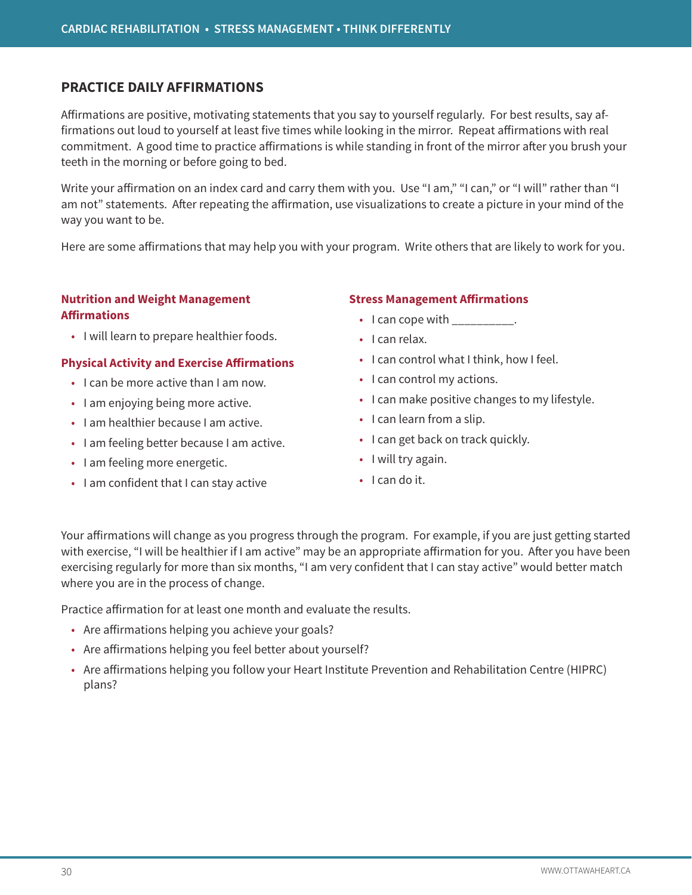### **PRACTICE DAILY AFFIRMATIONS**

Affirmations are positive, motivating statements that you say to yourself regularly. For best results, say affirmations out loud to yourself at least five times while looking in the mirror. Repeat affirmations with real commitment. A good time to practice affirmations is while standing in front of the mirror after you brush your teeth in the morning or before going to bed.

Write your affirmation on an index card and carry them with you. Use "I am," "I can," or "I will" rather than "I am not" statements. After repeating the affirmation, use visualizations to create a picture in your mind of the way you want to be.

Here are some affirmations that may help you with your program. Write others that are likely to work for you.

#### **Nutrition and Weight Management Affirmations**

• I will learn to prepare healthier foods.

#### **Physical Activity and Exercise Affirmations**

- I can be more active than I am now.
- I am enjoying being more active.
- I am healthier because I am active.
- I am feeling better because I am active.
- I am feeling more energetic.
- I am confident that I can stay active

#### **Stress Management Affirmations**

- I can cope with  $\frac{1}{2}$ .
- I can relax.
- I can control what I think, how I feel.
- I can control my actions.
- I can make positive changes to my lifestyle.
- I can learn from a slip.
- I can get back on track quickly.
- I will try again.
- I can do it.

Your affirmations will change as you progress through the program. For example, if you are just getting started with exercise, "I will be healthier if I am active" may be an appropriate affirmation for you. After you have been exercising regularly for more than six months, "I am very confident that I can stay active" would better match where you are in the process of change.

Practice affirmation for at least one month and evaluate the results.

- Are affirmations helping you achieve your goals?
- Are affirmations helping you feel better about yourself?
- Are affirmations helping you follow your Heart Institute Prevention and Rehabilitation Centre (HIPRC) plans?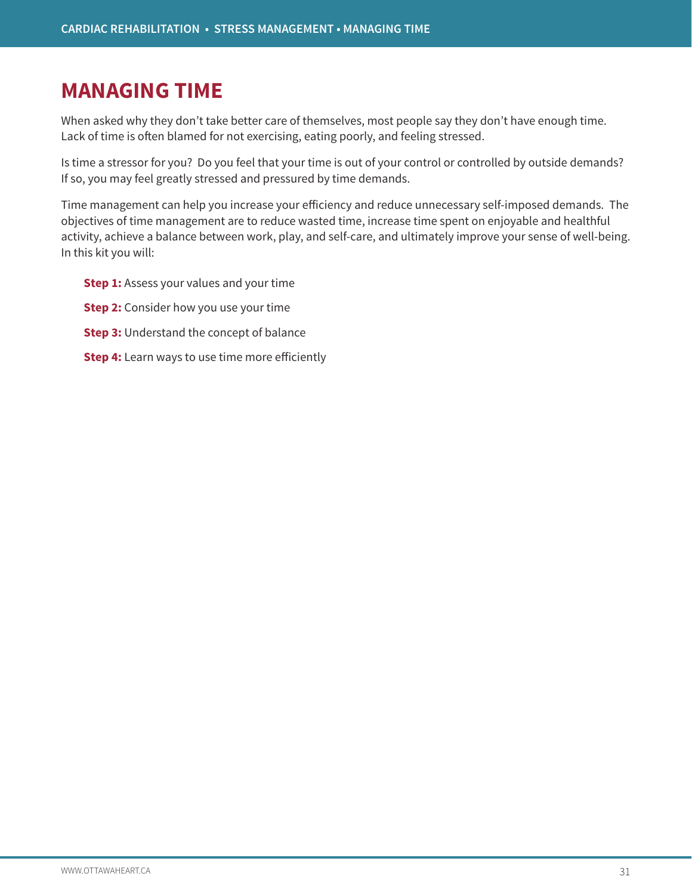# **MANAGING TIME**

When asked why they don't take better care of themselves, most people say they don't have enough time. Lack of time is often blamed for not exercising, eating poorly, and feeling stressed.

Is time a stressor for you? Do you feel that your time is out of your control or controlled by outside demands? If so, you may feel greatly stressed and pressured by time demands.

Time management can help you increase your efficiency and reduce unnecessary self-imposed demands. The objectives of time management are to reduce wasted time, increase time spent on enjoyable and healthful activity, achieve a balance between work, play, and self-care, and ultimately improve your sense of well-being. In this kit you will:

- **Step 1:** Assess your values and your time
- **Step 2:** Consider how you use your time
- **Step 3:** Understand the concept of balance
- **Step 4:** Learn ways to use time more efficiently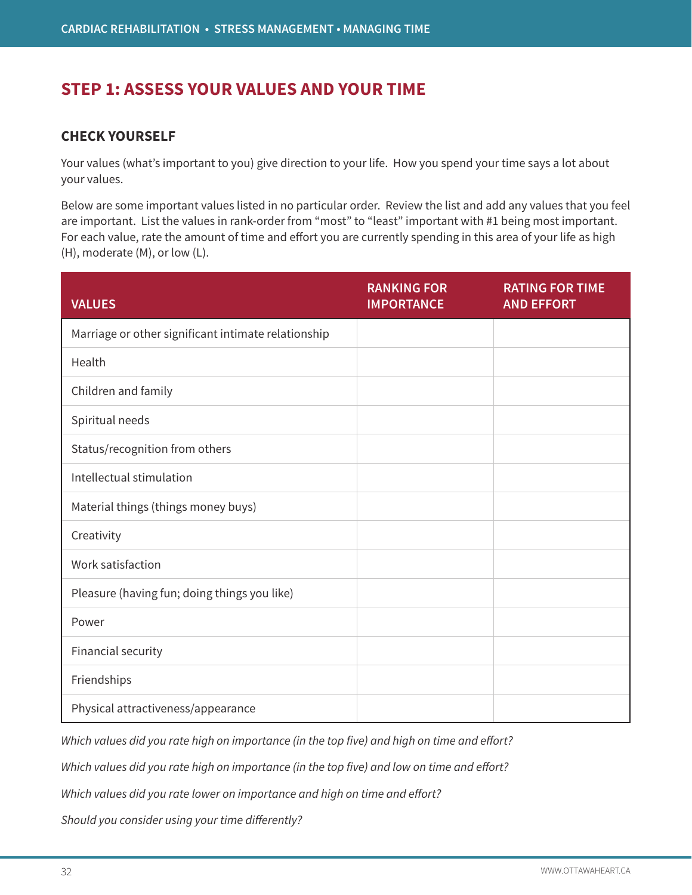# **STEP 1: ASSESS YOUR VALUES AND YOUR TIME**

### **CHECK YOURSELF**

Your values (what's important to you) give direction to your life. How you spend your time says a lot about your values.

Below are some important values listed in no particular order. Review the list and add any values that you feel are important. List the values in rank-order from "most" to "least" important with #1 being most important. For each value, rate the amount of time and effort you are currently spending in this area of your life as high (H), moderate (M), or low (L).

| <b>VALUES</b>                                       | <b>RANKING FOR</b><br><b>IMPORTANCE</b> | <b>RATING FOR TIME</b><br><b>AND EFFORT</b> |
|-----------------------------------------------------|-----------------------------------------|---------------------------------------------|
| Marriage or other significant intimate relationship |                                         |                                             |
| Health                                              |                                         |                                             |
| Children and family                                 |                                         |                                             |
| Spiritual needs                                     |                                         |                                             |
| Status/recognition from others                      |                                         |                                             |
| Intellectual stimulation                            |                                         |                                             |
| Material things (things money buys)                 |                                         |                                             |
| Creativity                                          |                                         |                                             |
| Work satisfaction                                   |                                         |                                             |
| Pleasure (having fun; doing things you like)        |                                         |                                             |
| Power                                               |                                         |                                             |
| Financial security                                  |                                         |                                             |
| Friendships                                         |                                         |                                             |
| Physical attractiveness/appearance                  |                                         |                                             |

*Which values did you rate high on importance (in the top five) and high on time and effort?*

*Which values did you rate high on importance (in the top five) and low on time and effort?*

*Which values did you rate lower on importance and high on time and effort?*

*Should you consider using your time differently?*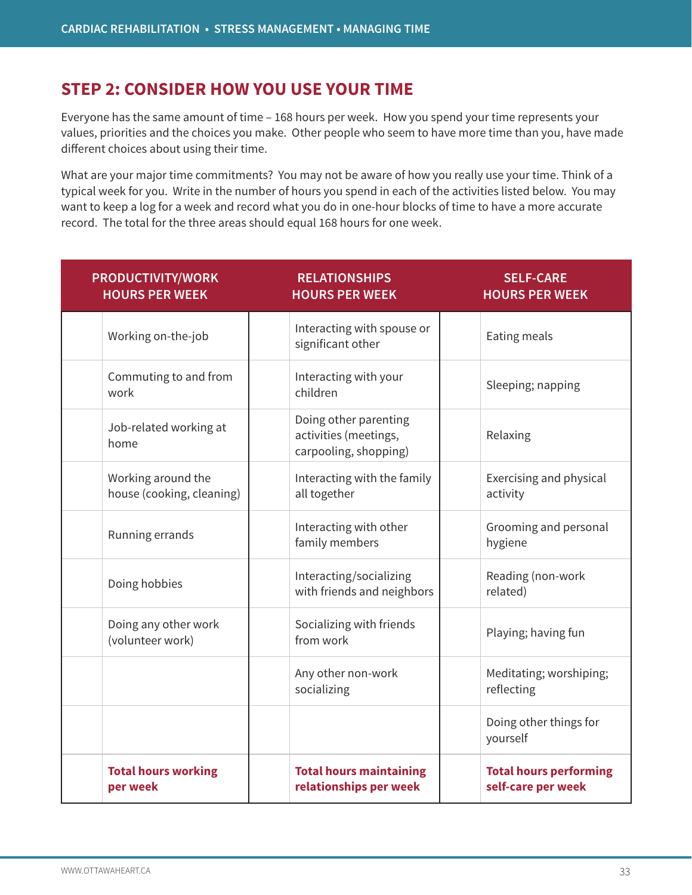# **STEP 2: CONSIDER HOW YOU USE YOUR TIME**

Everyone has the same amount of time – 168 hours per week. How you spend your time represents your values, priorities and the choices you make. Other people who seem to have more time than you, have made different choices about using their time.

What are your major time commitments? You may not be aware of how you really use your time. Think of a typical week for you. Write in the number of hours you spend in each of the activities listed below. You may want to keep a log for a week and record what you do in one-hour blocks of time to have a more accurate record. The total for the three areas should equal 168 hours for one week.

| <b>PRODUCTIVITY/WORK</b><br><b>HOURS PER WEEK</b> | <b>RELATIONSHIPS</b><br><b>HOURS PER WEEK</b>                           | <b>SELF-CARE</b><br><b>HOURS PER WEEK</b>           |
|---------------------------------------------------|-------------------------------------------------------------------------|-----------------------------------------------------|
| Working on-the-job                                | Interacting with spouse or<br>significant other                         | Eating meals                                        |
| Commuting to and from<br>work                     | Interacting with your<br>children                                       | Sleeping; napping                                   |
| Job-related working at<br>home                    | Doing other parenting<br>activities (meetings,<br>carpooling, shopping) | Relaxing                                            |
| Working around the<br>house (cooking, cleaning)   | Interacting with the family<br>all together                             | Exercising and physical<br>activity                 |
| Running errands                                   | Interacting with other<br>family members                                | Grooming and personal<br>hygiene                    |
| Doing hobbies                                     | Interacting/socializing<br>with friends and neighbors                   | Reading (non-work<br>related)                       |
| Doing any other work<br>(volunteer work)          | Socializing with friends<br>from work                                   | Playing; having fun                                 |
|                                                   | Any other non-work<br>socializing                                       | Meditating; worshiping;<br>reflecting               |
|                                                   |                                                                         | Doing other things for<br>yourself                  |
| <b>Total hours working</b><br>per week            | <b>Total hours maintaining</b><br>relationships per week                | <b>Total hours performing</b><br>self-care per week |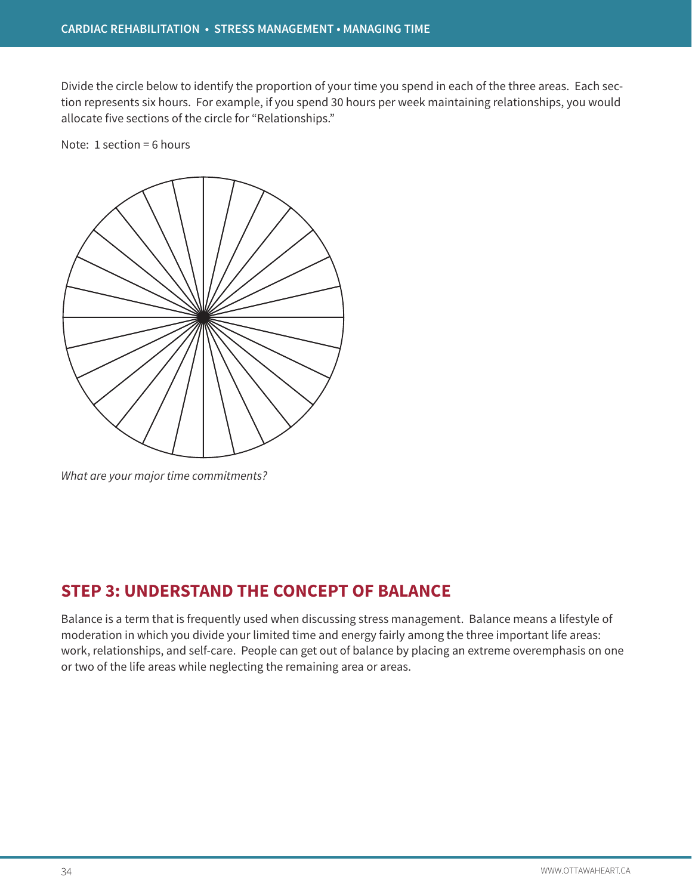Divide the circle below to identify the proportion of your time you spend in each of the three areas. Each section represents six hours. For example, if you spend 30 hours per week maintaining relationships, you would allocate five sections of the circle for "Relationships."

Note: 1 section = 6 hours



*What are your major time commitments?* 

# **STEP 3: UNDERSTAND THE CONCEPT OF BALANCE**

Balance is a term that is frequently used when discussing stress management. Balance means a lifestyle of moderation in which you divide your limited time and energy fairly among the three important life areas: work, relationships, and self-care. People can get out of balance by placing an extreme overemphasis on one or two of the life areas while neglecting the remaining area or areas.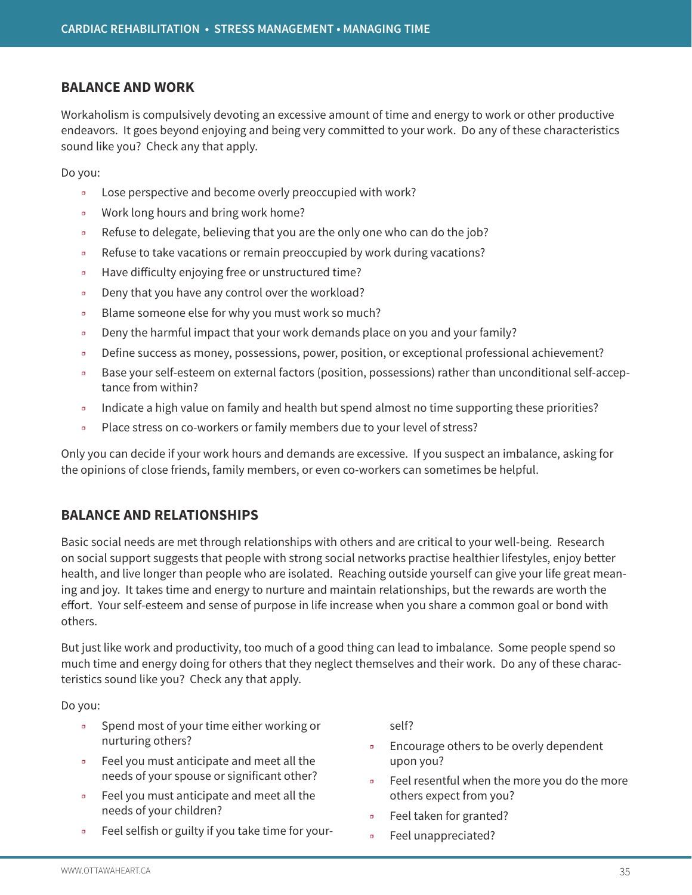### **BALANCE AND WORK**

Workaholism is compulsively devoting an excessive amount of time and energy to work or other productive endeavors. It goes beyond enjoying and being very committed to your work. Do any of these characteristics sound like you? Check any that apply.

Do you:

- ❒ Lose perspective and become overly preoccupied with work?
- ❒ Work long hours and bring work home?
- Refuse to delegate, believing that you are the only one who can do the job?
- ❒ Refuse to take vacations or remain preoccupied by work during vacations?
- ❒ Have difficulty enjoying free or unstructured time?
- ❒ Deny that you have any control over the workload?
- ❒ Blame someone else for why you must work so much?
- □ Deny the harmful impact that your work demands place on you and your family?
- ❒ Define success as money, possessions, power, position, or exceptional professional achievement?
- ❒ Base your self-esteem on external factors (position, possessions) rather than unconditional self-acceptance from within?
- □ Indicate a high value on family and health but spend almost no time supporting these priorities?
- ❒ Place stress on co-workers or family members due to your level of stress?

Only you can decide if your work hours and demands are excessive. If you suspect an imbalance, asking for the opinions of close friends, family members, or even co-workers can sometimes be helpful.

# **BALANCE AND RELATIONSHIPS**

Basic social needs are met through relationships with others and are critical to your well-being. Research on social support suggests that people with strong social networks practise healthier lifestyles, enjoy better health, and live longer than people who are isolated. Reaching outside yourself can give your life great meaning and joy. It takes time and energy to nurture and maintain relationships, but the rewards are worth the effort. Your self-esteem and sense of purpose in life increase when you share a common goal or bond with others.

But just like work and productivity, too much of a good thing can lead to imbalance. Some people spend so much time and energy doing for others that they neglect themselves and their work. Do any of these characteristics sound like you? Check any that apply.

Do you:

- ❒ Spend most of your time either working or nurturing others?
- ❒ Feel you must anticipate and meet all the needs of your spouse or significant other?
- Feel you must anticipate and meet all the needs of your children?
- ❒ Feel selfish or guilty if you take time for your-

self?

- ❒ Encourage others to be overly dependent upon you?
- ❒ Feel resentful when the more you do the more others expect from you?
- ❒ Feel taken for granted?
- ❒ Feel unappreciated?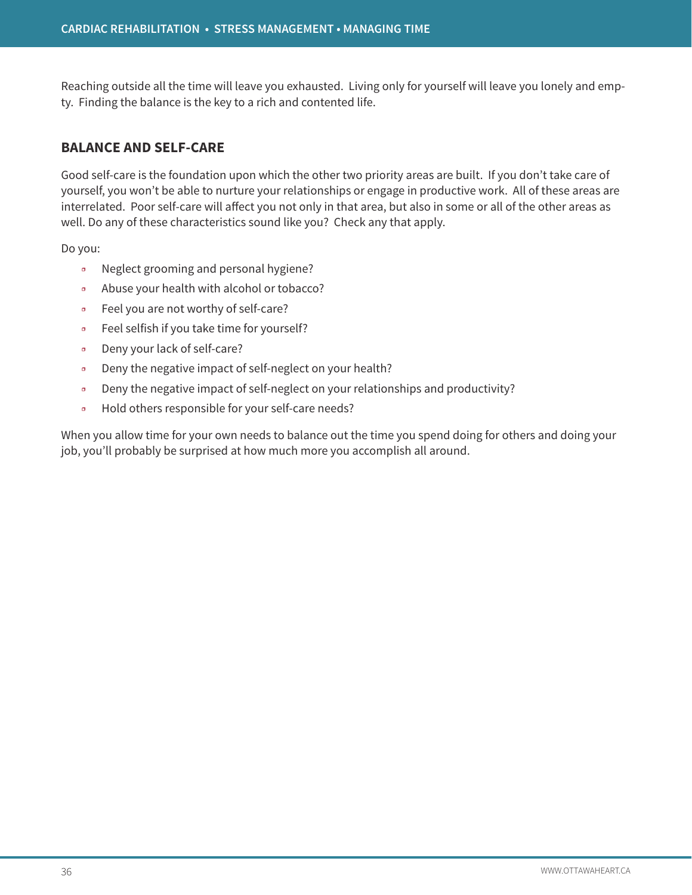Reaching outside all the time will leave you exhausted. Living only for yourself will leave you lonely and empty. Finding the balance is the key to a rich and contented life.

# **BALANCE AND SELF-CARE**

Good self-care is the foundation upon which the other two priority areas are built. If you don't take care of yourself, you won't be able to nurture your relationships or engage in productive work. All of these areas are interrelated. Poor self-care will affect you not only in that area, but also in some or all of the other areas as well. Do any of these characteristics sound like you? Check any that apply.

Do you:

- ❒ Neglect grooming and personal hygiene?
- ❒ Abuse your health with alcohol or tobacco?
- ❒ Feel you are not worthy of self-care?
- ❒ Feel selfish if you take time for yourself?
- ❒ Deny your lack of self-care?
- ❒ Deny the negative impact of self-neglect on your health?
- ❒ Deny the negative impact of self-neglect on your relationships and productivity?
- ❒ Hold others responsible for your self-care needs?

When you allow time for your own needs to balance out the time you spend doing for others and doing your job, you'll probably be surprised at how much more you accomplish all around.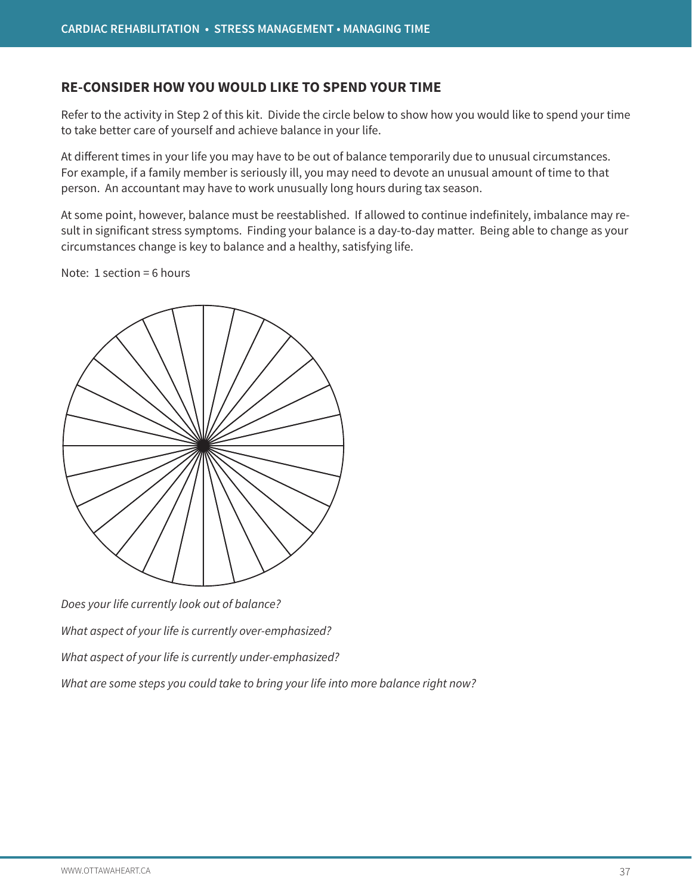### **RE-CONSIDER HOW YOU WOULD LIKE TO SPEND YOUR TIME**

Refer to the activity in Step 2 of this kit. Divide the circle below to show how you would like to spend your time to take better care of yourself and achieve balance in your life.

At different times in your life you may have to be out of balance temporarily due to unusual circumstances. For example, if a family member is seriously ill, you may need to devote an unusual amount of time to that person. An accountant may have to work unusually long hours during tax season.

At some point, however, balance must be reestablished. If allowed to continue indefinitely, imbalance may result in significant stress symptoms. Finding your balance is a day-to-day matter. Being able to change as your circumstances change is key to balance and a healthy, satisfying life.

Note: 1 section = 6 hours



*Does your life currently look out of balance?*

*What aspect of your life is currently over-emphasized?*

*What aspect of your life is currently under-emphasized?*

*What are some steps you could take to bring your life into more balance right now?*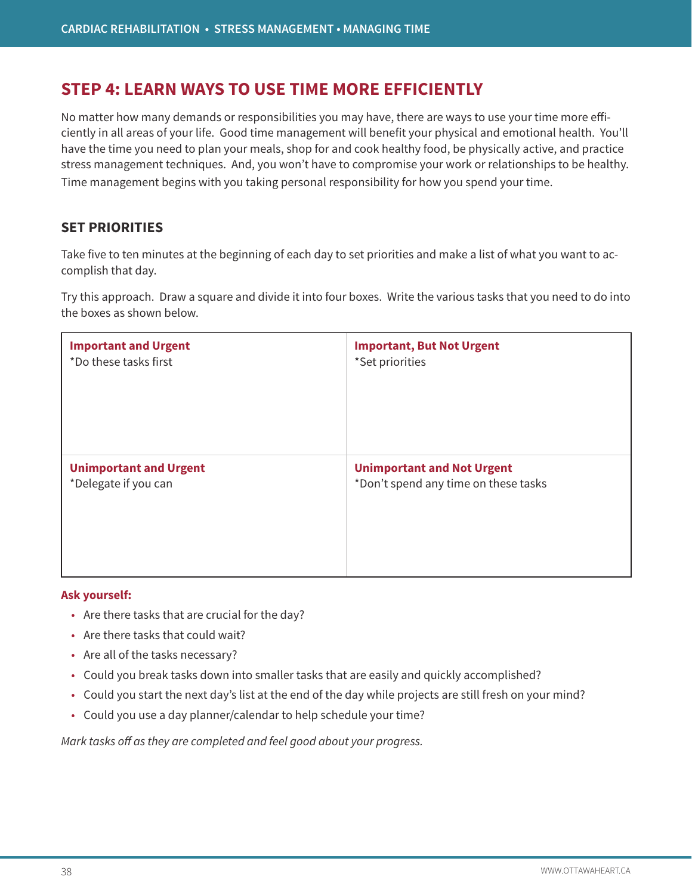# **STEP 4: LEARN WAYS TO USE TIME MORE EFFICIENTLY**

No matter how many demands or responsibilities you may have, there are ways to use your time more efficiently in all areas of your life. Good time management will benefit your physical and emotional health. You'll have the time you need to plan your meals, shop for and cook healthy food, be physically active, and practice stress management techniques. And, you won't have to compromise your work or relationships to be healthy. Time management begins with you taking personal responsibility for how you spend your time.

# **SET PRIORITIES**

Take five to ten minutes at the beginning of each day to set priorities and make a list of what you want to accomplish that day.

Try this approach. Draw a square and divide it into four boxes. Write the various tasks that you need to do into the boxes as shown below.

| <b>Important and Urgent</b>   | <b>Important, But Not Urgent</b>     |
|-------------------------------|--------------------------------------|
| *Do these tasks first         | *Set priorities                      |
| <b>Unimportant and Urgent</b> | <b>Unimportant and Not Urgent</b>    |
| *Delegate if you can          | *Don't spend any time on these tasks |

#### **Ask yourself:**

- Are there tasks that are crucial for the day?
- Are there tasks that could wait?
- Are all of the tasks necessary?
- Could you break tasks down into smaller tasks that are easily and quickly accomplished?
- Could you start the next day's list at the end of the day while projects are still fresh on your mind?
- Could you use a day planner/calendar to help schedule your time?

*Mark tasks off as they are completed and feel good about your progress.*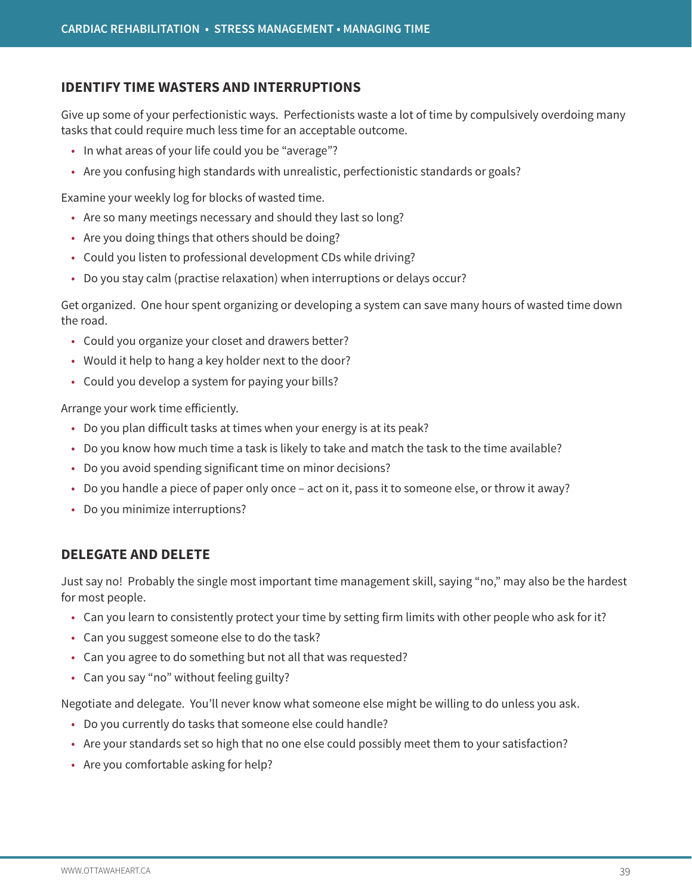### **IDENTIFY TIME WASTERS AND INTERRUPTIONS**

Give up some of your perfectionistic ways. Perfectionists waste a lot of time by compulsively overdoing many tasks that could require much less time for an acceptable outcome.

- In what areas of your life could you be "average"?
- Are you confusing high standards with unrealistic, perfectionistic standards or goals?

Examine your weekly log for blocks of wasted time.

- Are so many meetings necessary and should they last so long?
- Are you doing things that others should be doing?
- Could you listen to professional development CDs while driving?
- Do you stay calm (practise relaxation) when interruptions or delays occur?

Get organized. One hour spent organizing or developing a system can save many hours of wasted time down the road.

- Could you organize your closet and drawers better?
- Would it help to hang a key holder next to the door?
- Could you develop a system for paying your bills?

Arrange your work time efficiently.

- Do you plan difficult tasks at times when your energy is at its peak?
- Do you know how much time a task is likely to take and match the task to the time available?
- Do you avoid spending significant time on minor decisions?
- Do you handle a piece of paper only once act on it, pass it to someone else, or throw it away?
- Do you minimize interruptions?

### **DELEGATE AND DELETE**

Just say no! Probably the single most important time management skill, saying "no," may also be the hardest for most people.

- Can you learn to consistently protect your time by setting firm limits with other people who ask for it?
- Can you suggest someone else to do the task?
- Can you agree to do something but not all that was requested?
- Can you say "no" without feeling guilty?

Negotiate and delegate. You'll never know what someone else might be willing to do unless you ask.

- Do you currently do tasks that someone else could handle?
- Are your standards set so high that no one else could possibly meet them to your satisfaction?
- Are you comfortable asking for help?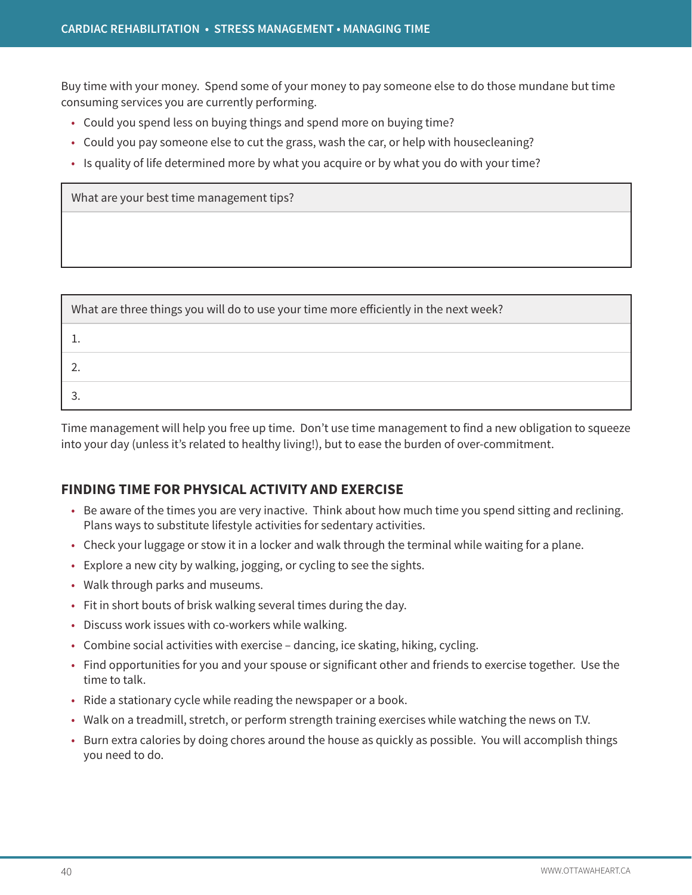Buy time with your money. Spend some of your money to pay someone else to do those mundane but time consuming services you are currently performing.

- Could you spend less on buying things and spend more on buying time?
- Could you pay someone else to cut the grass, wash the car, or help with housecleaning?
- Is quality of life determined more by what you acquire or by what you do with your time?

What are your best time management tips?

| What are three things you will do to use your time more efficiently in the next week? |  |  |  |  |  |
|---------------------------------------------------------------------------------------|--|--|--|--|--|
|                                                                                       |  |  |  |  |  |
|                                                                                       |  |  |  |  |  |
|                                                                                       |  |  |  |  |  |

Time management will help you free up time. Don't use time management to find a new obligation to squeeze into your day (unless it's related to healthy living!), but to ease the burden of over-commitment.

# **FINDING TIME FOR PHYSICAL ACTIVITY AND EXERCISE**

- Be aware of the times you are very inactive. Think about how much time you spend sitting and reclining. Plans ways to substitute lifestyle activities for sedentary activities.
- Check your luggage or stow it in a locker and walk through the terminal while waiting for a plane.
- Explore a new city by walking, jogging, or cycling to see the sights.
- Walk through parks and museums.
- Fit in short bouts of brisk walking several times during the day.
- Discuss work issues with co-workers while walking.
- Combine social activities with exercise dancing, ice skating, hiking, cycling.
- Find opportunities for you and your spouse or significant other and friends to exercise together. Use the time to talk.
- Ride a stationary cycle while reading the newspaper or a book.
- Walk on a treadmill, stretch, or perform strength training exercises while watching the news on T.V.
- Burn extra calories by doing chores around the house as quickly as possible. You will accomplish things you need to do.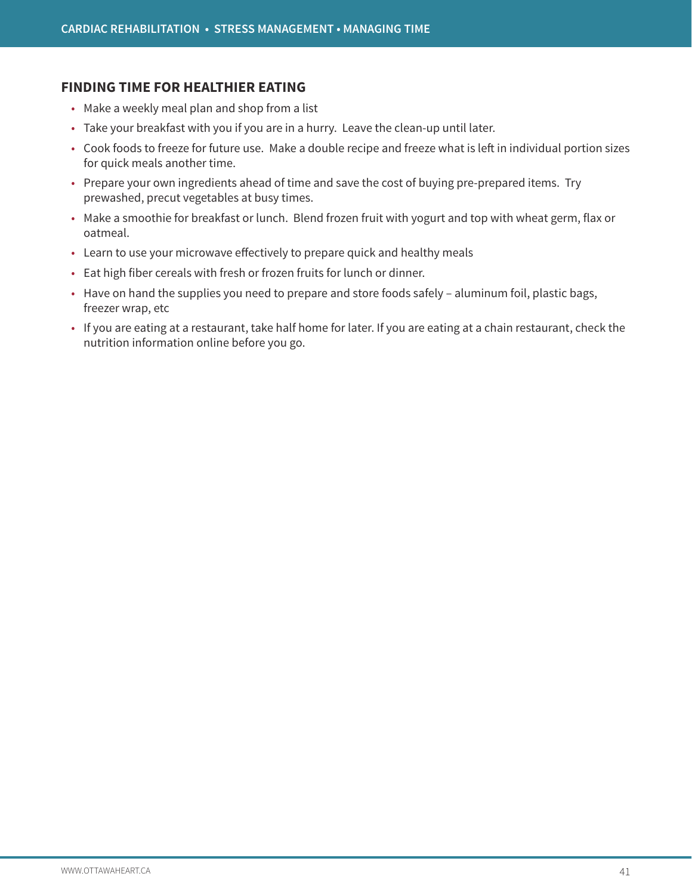### **FINDING TIME FOR HEALTHIER EATING**

- Make a weekly meal plan and shop from a list
- Take your breakfast with you if you are in a hurry. Leave the clean-up until later.
- Cook foods to freeze for future use. Make a double recipe and freeze what is left in individual portion sizes for quick meals another time.
- Prepare your own ingredients ahead of time and save the cost of buying pre-prepared items. Try prewashed, precut vegetables at busy times.
- Make a smoothie for breakfast or lunch. Blend frozen fruit with yogurt and top with wheat germ, flax or oatmeal.
- Learn to use your microwave effectively to prepare quick and healthy meals
- Eat high fiber cereals with fresh or frozen fruits for lunch or dinner.
- Have on hand the supplies you need to prepare and store foods safely aluminum foil, plastic bags, freezer wrap, etc
- If you are eating at a restaurant, take half home for later. If you are eating at a chain restaurant, check the nutrition information online before you go.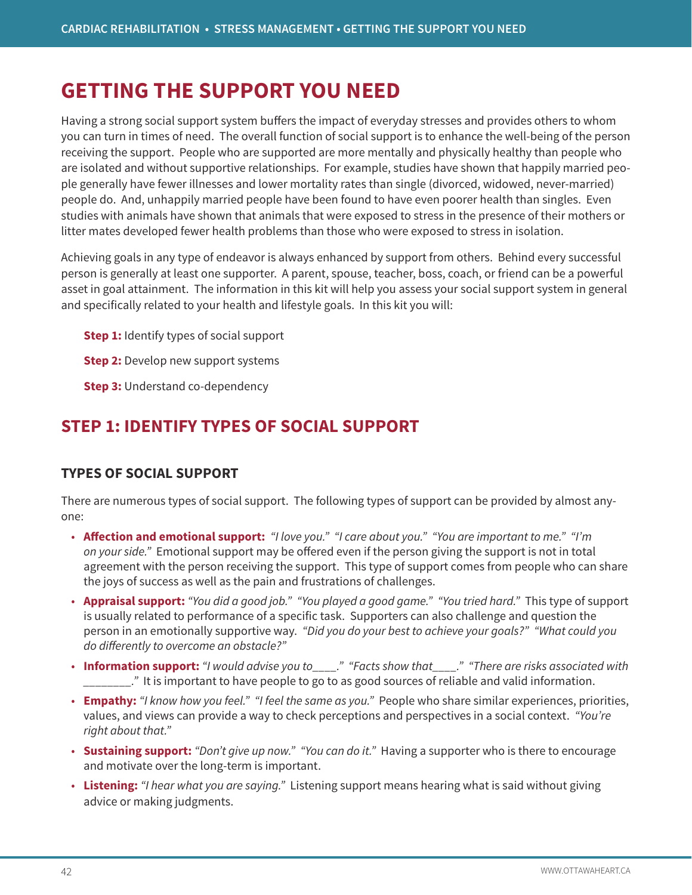# **GETTING THE SUPPORT YOU NEED**

Having a strong social support system buffers the impact of everyday stresses and provides others to whom you can turn in times of need. The overall function of social support is to enhance the well-being of the person receiving the support. People who are supported are more mentally and physically healthy than people who are isolated and without supportive relationships. For example, studies have shown that happily married people generally have fewer illnesses and lower mortality rates than single (divorced, widowed, never-married) people do. And, unhappily married people have been found to have even poorer health than singles. Even studies with animals have shown that animals that were exposed to stress in the presence of their mothers or litter mates developed fewer health problems than those who were exposed to stress in isolation.

Achieving goals in any type of endeavor is always enhanced by support from others. Behind every successful person is generally at least one supporter. A parent, spouse, teacher, boss, coach, or friend can be a powerful asset in goal attainment. The information in this kit will help you assess your social support system in general and specifically related to your health and lifestyle goals. In this kit you will:

**Step 1:** Identify types of social support

**Step 2:** Develop new support systems

**Step 3: Understand co-dependency** 

# **STEP 1: IDENTIFY TYPES OF SOCIAL SUPPORT**

# **TYPES OF SOCIAL SUPPORT**

There are numerous types of social support. The following types of support can be provided by almost anyone:

- **Affection and emotional support:** *"I love you." "I care about you." "You are important to me." "I'm on your side."* Emotional support may be offered even if the person giving the support is not in total agreement with the person receiving the support. This type of support comes from people who can share the joys of success as well as the pain and frustrations of challenges.
- **Appraisal support:** *"You did a good job." "You played a good game." "You tried hard."* This type of support is usually related to performance of a specific task. Supporters can also challenge and question the person in an emotionally supportive way. *"Did you do your best to achieve your goals?" "What could you do differently to overcome an obstacle?"*
- **Information support:** *"I would advise you to\_\_\_\_." "Facts show that\_\_\_\_." "There are risks associated with \_\_\_\_\_\_\_\_."* It is important to have people to go to as good sources of reliable and valid information.
- **Empathy:** *"I know how you feel." "I feel the same as you."* People who share similar experiences, priorities, values, and views can provide a way to check perceptions and perspectives in a social context. *"You're right about that."*
- **Sustaining support:** *"Don't give up now." "You can do it."* Having a supporter who is there to encourage and motivate over the long-term is important.
- **Listening:** *"I hear what you are saying."* Listening support means hearing what is said without giving advice or making judgments.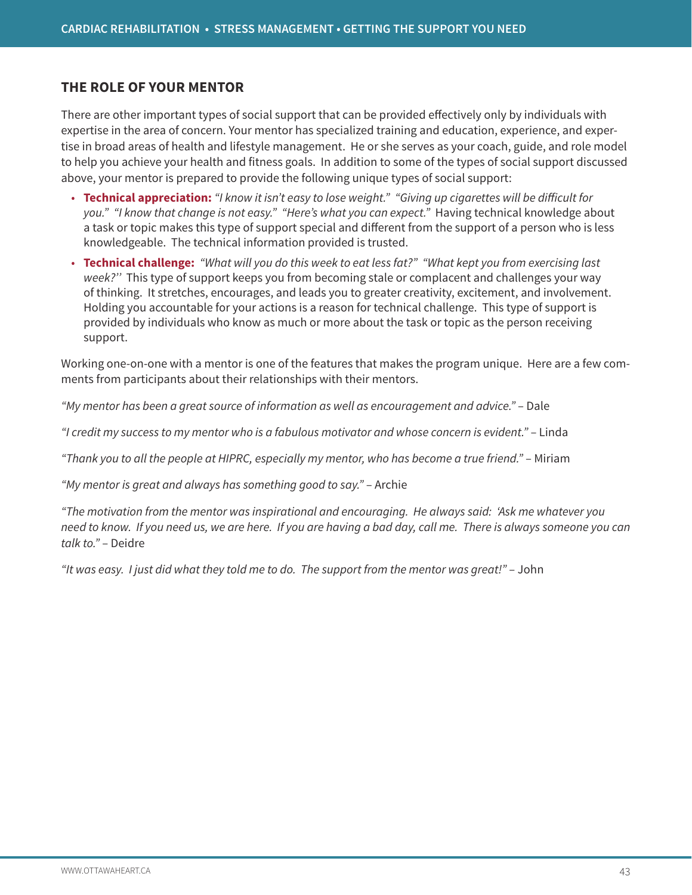### **THE ROLE OF YOUR MENTOR**

There are other important types of social support that can be provided effectively only by individuals with expertise in the area of concern. Your mentor has specialized training and education, experience, and expertise in broad areas of health and lifestyle management. He or she serves as your coach, guide, and role model to help you achieve your health and fitness goals. In addition to some of the types of social support discussed above, your mentor is prepared to provide the following unique types of social support:

- **Technical appreciation:** *"I know it isn't easy to lose weight." "Giving up cigarettes will be difficult for you." "I know that change is not easy." "Here's what you can expect."* Having technical knowledge about a task or topic makes this type of support special and different from the support of a person who is less knowledgeable. The technical information provided is trusted.
- **Technical challenge:** *"What will you do this week to eat less fat?" "What kept you from exercising last week?''* This type of support keeps you from becoming stale or complacent and challenges your way of thinking. It stretches, encourages, and leads you to greater creativity, excitement, and involvement. Holding you accountable for your actions is a reason for technical challenge. This type of support is provided by individuals who know as much or more about the task or topic as the person receiving support.

Working one-on-one with a mentor is one of the features that makes the program unique. Here are a few comments from participants about their relationships with their mentors.

*"My mentor has been a great source of information as well as encouragement and advice."* – Dale

*"I credit my success to my mentor who is a fabulous motivator and whose concern is evident."* – Linda

*"Thank you to all the people at HIPRC, especially my mentor, who has become a true friend."* – Miriam

*"My mentor is great and always has something good to say."* – Archie

*"The motivation from the mentor was inspirational and encouraging. He always said: 'Ask me whatever you need to know. If you need us, we are here. If you are having a bad day, call me. There is always someone you can talk to."* – Deidre

*"It was easy. I just did what they told me to do. The support from the mentor was great!"* – John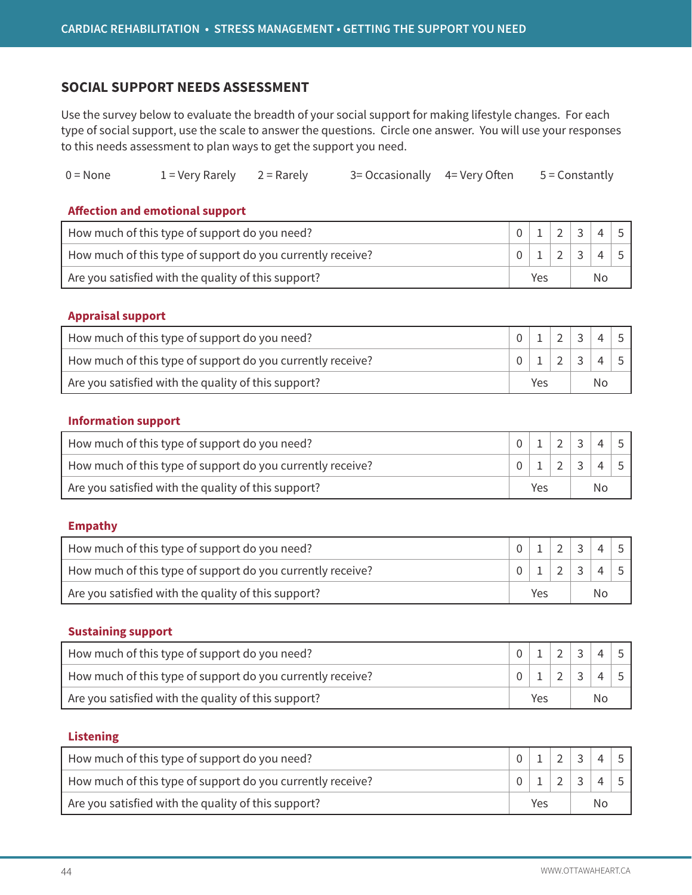### **SOCIAL SUPPORT NEEDS ASSESSMENT**

Use the survey below to evaluate the breadth of your social support for making lifestyle changes. For each type of social support, use the scale to answer the questions. Circle one answer. You will use your responses to this needs assessment to plan ways to get the support you need.

| $0 = None$ | $1 =$ Very Rarely $2 =$ Rarely |  | 3 = Occasionally 4 = Very Often |  | 5 = Constantly |
|------------|--------------------------------|--|---------------------------------|--|----------------|
|------------|--------------------------------|--|---------------------------------|--|----------------|

#### **Affection and emotional support**

| How much of this type of support do you need?              |     |  |  |        |  |  |
|------------------------------------------------------------|-----|--|--|--------|--|--|
| How much of this type of support do you currently receive? |     |  |  | $\sim$ |  |  |
| Are you satisfied with the quality of this support?        | Yes |  |  | Nο     |  |  |

#### **Appraisal support**

| How much of this type of support do you need?              |     |  |    |  |  |
|------------------------------------------------------------|-----|--|----|--|--|
| How much of this type of support do you currently receive? |     |  |    |  |  |
| Are you satisfied with the quality of this support?        | Yes |  | No |  |  |

#### **Information support**

| How much of this type of support do you need?              |     |  |  | 2 3 |                   |  |
|------------------------------------------------------------|-----|--|--|-----|-------------------|--|
| How much of this type of support do you currently receive? |     |  |  |     | 0   1   2   3   4 |  |
| Are you satisfied with the quality of this support?        | Yes |  |  | Nο  |                   |  |

#### **Empathy**

| How much of this type of support do you need?              |     |  | $2 \mid 3$ |                 |   |  |
|------------------------------------------------------------|-----|--|------------|-----------------|---|--|
| How much of this type of support do you currently receive? |     |  |            | $2 \mid 3 \mid$ | 4 |  |
| Are you satisfied with the quality of this support?        | Yes |  |            | No              |   |  |

#### **Sustaining support**

| How much of this type of support do you need?              |     |  |    |  |  |
|------------------------------------------------------------|-----|--|----|--|--|
| How much of this type of support do you currently receive? |     |  |    |  |  |
| Are you satisfied with the quality of this support?        | Yes |  | No |  |  |

#### **Listening**

| How much of this type of support do you need?              |     |  |  | $\sim$ |  |  |
|------------------------------------------------------------|-----|--|--|--------|--|--|
| How much of this type of support do you currently receive? |     |  |  | $\sim$ |  |  |
| Are you satisfied with the quality of this support?        | Yes |  |  | No     |  |  |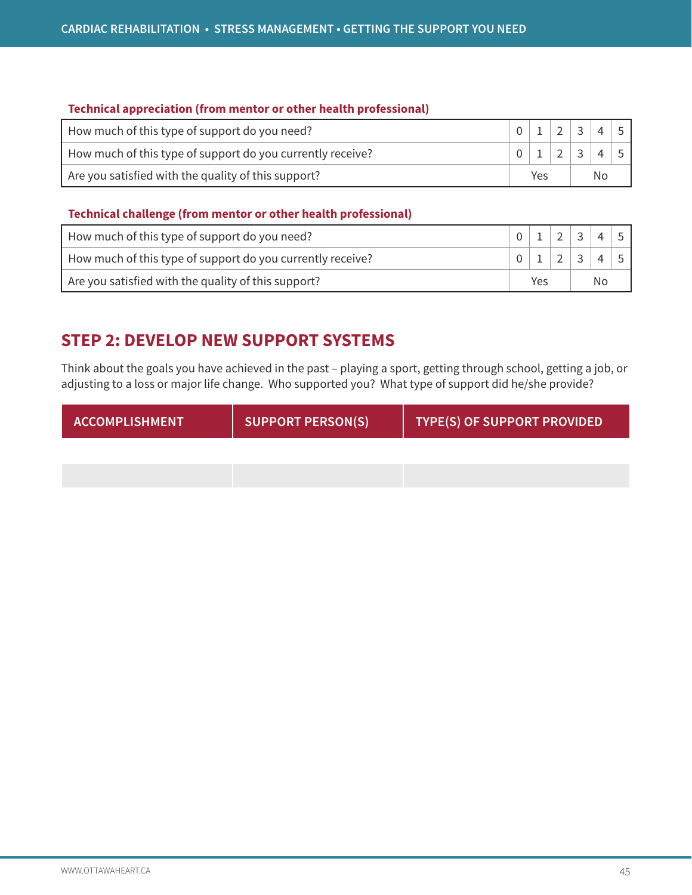#### **Technical appreciation (from mentor or other health professional)**

| How much of this type of support do you need?              |     |  |        |                |  |  |
|------------------------------------------------------------|-----|--|--------|----------------|--|--|
| How much of this type of support do you currently receive? |     |  | $\sim$ | $\overline{3}$ |  |  |
| Are you satisfied with the quality of this support?        | Yes |  |        | No             |  |  |

#### **Technical challenge (from mentor or other health professional)**

| How much of this type of support do you need?              |     |  | $\sim$ | $\sim$          |  |  |
|------------------------------------------------------------|-----|--|--------|-----------------|--|--|
| How much of this type of support do you currently receive? |     |  |        | $2 \mid 3 \mid$ |  |  |
| Are you satisfied with the quality of this support?        | Yes |  |        | No              |  |  |

# **STEP 2: DEVELOP NEW SUPPORT SYSTEMS**

Think about the goals you have achieved in the past – playing a sport, getting through school, getting a job, or adjusting to a loss or major life change. Who supported you? What type of support did he/she provide?

| ACCOMPLISHMENT | <b>SUPPORT PERSON(S)</b> | TYPE(S) OF SUPPORT PROVIDED |
|----------------|--------------------------|-----------------------------|
|                |                          |                             |
|                |                          |                             |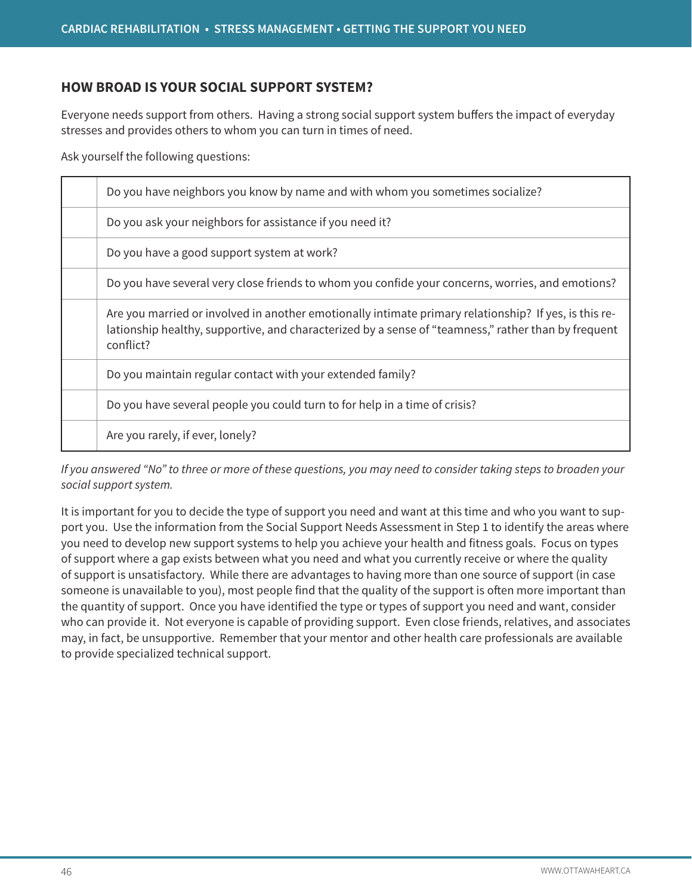### **HOW BROAD IS YOUR SOCIAL SUPPORT SYSTEM?**

Everyone needs support from others. Having a strong social support system buffers the impact of everyday stresses and provides others to whom you can turn in times of need.

Ask yourself the following questions:

| Do you have neighbors you know by name and with whom you sometimes socialize?                                                                                                                                             |
|---------------------------------------------------------------------------------------------------------------------------------------------------------------------------------------------------------------------------|
| Do you ask your neighbors for assistance if you need it?                                                                                                                                                                  |
| Do you have a good support system at work?                                                                                                                                                                                |
| Do you have several very close friends to whom you confide your concerns, worries, and emotions?                                                                                                                          |
| Are you married or involved in another emotionally intimate primary relationship? If yes, is this re-<br>lationship healthy, supportive, and characterized by a sense of "teamness," rather than by frequent<br>conflict? |
| Do you maintain regular contact with your extended family?                                                                                                                                                                |
| Do you have several people you could turn to for help in a time of crisis?                                                                                                                                                |
| Are you rarely, if ever, lonely?                                                                                                                                                                                          |

*If you answered "No" to three or more of these questions, you may need to consider taking steps to broaden your social support system.*

It is important for you to decide the type of support you need and want at this time and who you want to support you. Use the information from the Social Support Needs Assessment in Step 1 to identify the areas where you need to develop new support systems to help you achieve your health and fitness goals. Focus on types of support where a gap exists between what you need and what you currently receive or where the quality of support is unsatisfactory. While there are advantages to having more than one source of support (in case someone is unavailable to you), most people find that the quality of the support is often more important than the quantity of support. Once you have identified the type or types of support you need and want, consider who can provide it. Not everyone is capable of providing support. Even close friends, relatives, and associates may, in fact, be unsupportive. Remember that your mentor and other health care professionals are available to provide specialized technical support.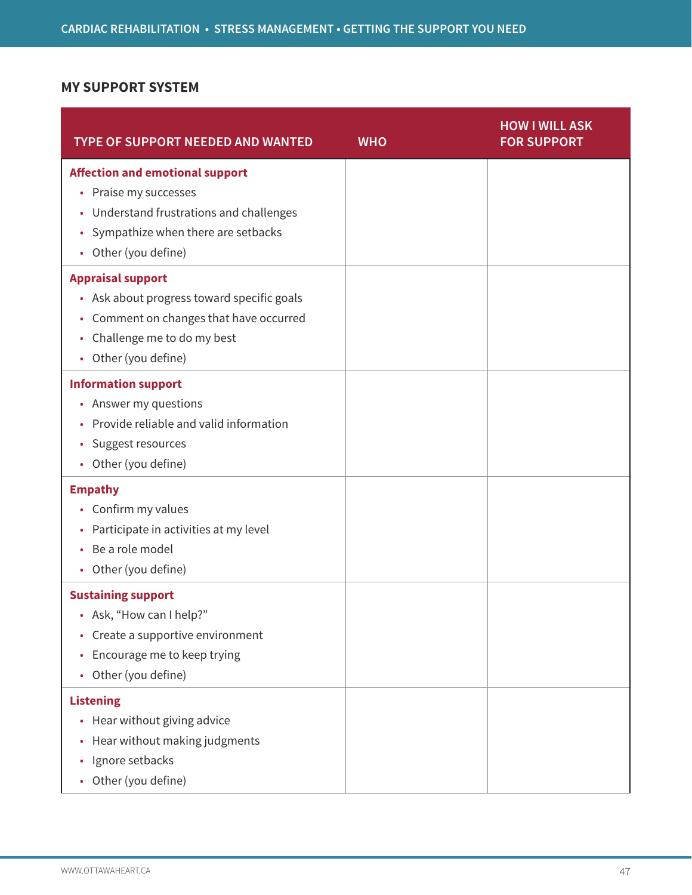# **MY SUPPORT SYSTEM**

| <b>TYPE OF SUPPORT NEEDED AND WANTED</b>                                                                                                                                               | <b>WHO</b> | <b>HOW I WILL ASK</b><br><b>FOR SUPPORT</b> |
|----------------------------------------------------------------------------------------------------------------------------------------------------------------------------------------|------------|---------------------------------------------|
| <b>Affection and emotional support</b><br>• Praise my successes<br>• Understand frustrations and challenges<br>Sympathize when there are setbacks<br>$\bullet$<br>• Other (you define) |            |                                             |
| <b>Appraisal support</b><br>• Ask about progress toward specific goals<br>• Comment on changes that have occurred<br>Challenge me to do my best<br>$\bullet$<br>• Other (you define)   |            |                                             |
| <b>Information support</b><br>• Answer my questions<br>Provide reliable and valid information<br>Suggest resources<br>٠<br>• Other (you define)                                        |            |                                             |
| <b>Empathy</b><br>• Confirm my values<br>Participate in activities at my level<br>$\bullet$<br>Be a role model<br>• Other (you define)                                                 |            |                                             |
| <b>Sustaining support</b><br>• Ask, "How can I help?"<br>• Create a supportive environment<br>Encourage me to keep trying<br>$\bullet$<br>Other (you define)<br>$\bullet$              |            |                                             |
| <b>Listening</b><br>• Hear without giving advice<br>Hear without making judgments<br>$\bullet$<br>Ignore setbacks<br>$\bullet$<br>Other (you define)                                   |            |                                             |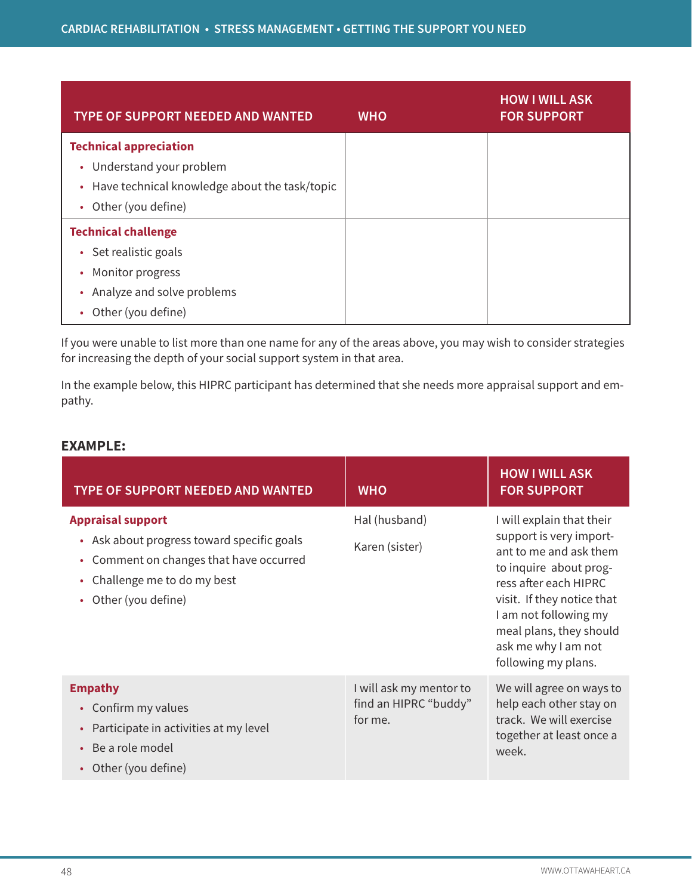| <b>TYPE OF SUPPORT NEEDED AND WANTED</b>        | <b>WHO</b> | <b>HOW I WILL ASK</b><br><b>FOR SUPPORT</b> |
|-------------------------------------------------|------------|---------------------------------------------|
| <b>Technical appreciation</b>                   |            |                                             |
| • Understand your problem                       |            |                                             |
| • Have technical knowledge about the task/topic |            |                                             |
| Other (you define)<br>$\bullet$                 |            |                                             |
| <b>Technical challenge</b>                      |            |                                             |
| • Set realistic goals                           |            |                                             |
| Monitor progress<br>٠                           |            |                                             |
| Analyze and solve problems<br>٠                 |            |                                             |
| Other (you define)                              |            |                                             |

If you were unable to list more than one name for any of the areas above, you may wish to consider strategies for increasing the depth of your social support system in that area.

In the example below, this HIPRC participant has determined that she needs more appraisal support and empathy.

### **EXAMPLE:**

| <b>TYPE OF SUPPORT NEEDED AND WANTED</b>                                                                                                                                      | <b>WHO</b>                                                  | <b>HOW I WILL ASK</b><br><b>FOR SUPPORT</b>                                                                                                                                                                                                                       |
|-------------------------------------------------------------------------------------------------------------------------------------------------------------------------------|-------------------------------------------------------------|-------------------------------------------------------------------------------------------------------------------------------------------------------------------------------------------------------------------------------------------------------------------|
| <b>Appraisal support</b><br>• Ask about progress toward specific goals<br>Comment on changes that have occurred<br>Challenge me to do my best<br>٠<br>Other (you define)<br>٠ | Hal (husband)<br>Karen (sister)                             | I will explain that their<br>support is very import-<br>ant to me and ask them<br>to inquire about prog-<br>ress after each HIPRC<br>visit. If they notice that<br>I am not following my<br>meal plans, they should<br>ask me why I am not<br>following my plans. |
| <b>Empathy</b><br>Confirm my values<br>$\bullet$<br>Participate in activities at my level<br>Be a role model<br>Other (you define)                                            | I will ask my mentor to<br>find an HIPRC "buddy"<br>for me. | We will agree on ways to<br>help each other stay on<br>track. We will exercise<br>together at least once a<br>week.                                                                                                                                               |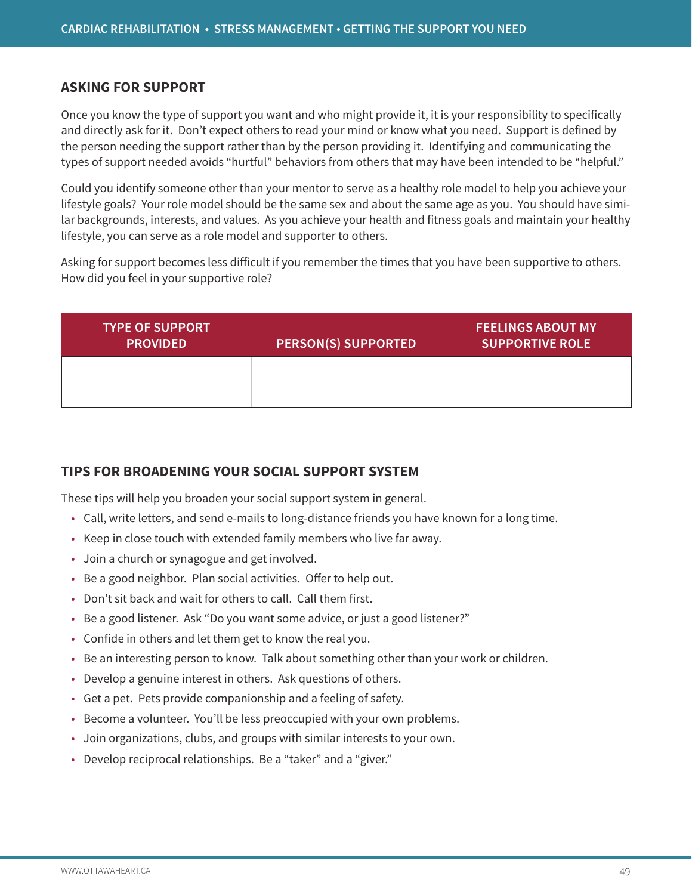### **ASKING FOR SUPPORT**

Once you know the type of support you want and who might provide it, it is your responsibility to specifically and directly ask for it. Don't expect others to read your mind or know what you need. Support is defined by the person needing the support rather than by the person providing it. Identifying and communicating the types of support needed avoids "hurtful" behaviors from others that may have been intended to be "helpful."

Could you identify someone other than your mentor to serve as a healthy role model to help you achieve your lifestyle goals? Your role model should be the same sex and about the same age as you. You should have similar backgrounds, interests, and values. As you achieve your health and fitness goals and maintain your healthy lifestyle, you can serve as a role model and supporter to others.

Asking for support becomes less difficult if you remember the times that you have been supportive to others. How did you feel in your supportive role?

| <b>TYPE OF SUPPORT</b><br><b>PROVIDED</b> | <b>PERSON(S) SUPPORTED</b> | <b>FEELINGS ABOUT MY</b><br><b>SUPPORTIVE ROLE</b> |
|-------------------------------------------|----------------------------|----------------------------------------------------|
|                                           |                            |                                                    |
|                                           |                            |                                                    |

# **TIPS FOR BROADENING YOUR SOCIAL SUPPORT SYSTEM**

These tips will help you broaden your social support system in general.

- Call, write letters, and send e-mails to long-distance friends you have known for a long time.
- Keep in close touch with extended family members who live far away.
- Join a church or synagogue and get involved.
- Be a good neighbor. Plan social activities. Offer to help out.
- Don't sit back and wait for others to call. Call them first.
- Be a good listener. Ask "Do you want some advice, or just a good listener?"
- Confide in others and let them get to know the real you.
- Be an interesting person to know. Talk about something other than your work or children.
- Develop a genuine interest in others. Ask questions of others.
- Get a pet. Pets provide companionship and a feeling of safety.
- Become a volunteer. You'll be less preoccupied with your own problems.
- Join organizations, clubs, and groups with similar interests to your own.
- Develop reciprocal relationships. Be a "taker" and a "giver."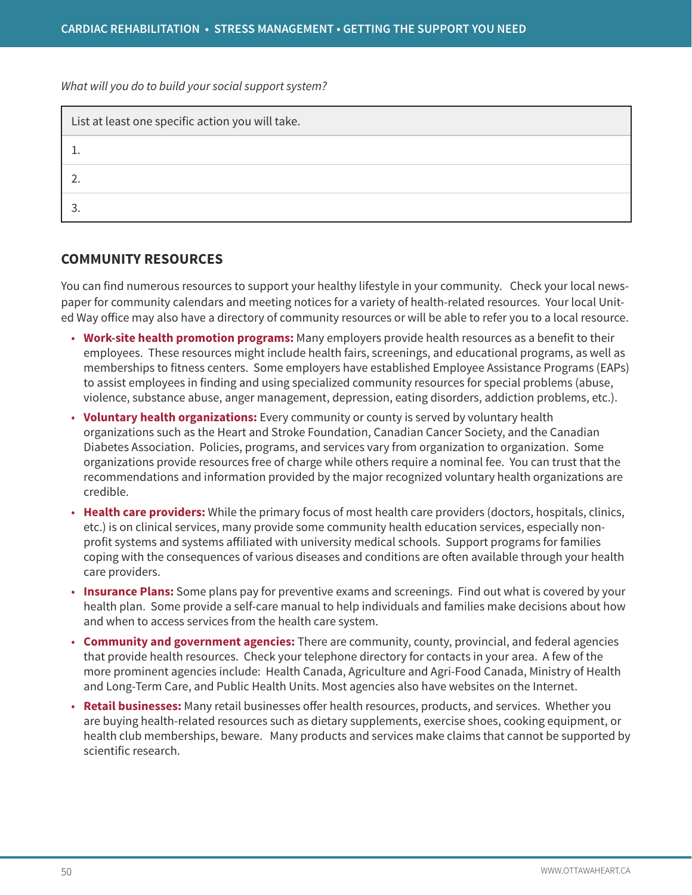*What will you do to build your social support system?* 

| List at least one specific action you will take. |  |  |
|--------------------------------------------------|--|--|
|                                                  |  |  |
|                                                  |  |  |
|                                                  |  |  |

### **COMMUNITY RESOURCES**

You can find numerous resources to support your healthy lifestyle in your community. Check your local newspaper for community calendars and meeting notices for a variety of health-related resources. Your local United Way office may also have a directory of community resources or will be able to refer you to a local resource.

- **Work-site health promotion programs:** Many employers provide health resources as a benefit to their employees. These resources might include health fairs, screenings, and educational programs, as well as memberships to fitness centers. Some employers have established Employee Assistance Programs (EAPs) to assist employees in finding and using specialized community resources for special problems (abuse, violence, substance abuse, anger management, depression, eating disorders, addiction problems, etc.).
- **Voluntary health organizations:** Every community or county is served by voluntary health organizations such as the Heart and Stroke Foundation, Canadian Cancer Society, and the Canadian Diabetes Association. Policies, programs, and services vary from organization to organization. Some organizations provide resources free of charge while others require a nominal fee. You can trust that the recommendations and information provided by the major recognized voluntary health organizations are credible.
- **Health care providers:** While the primary focus of most health care providers (doctors, hospitals, clinics, etc.) is on clinical services, many provide some community health education services, especially nonprofit systems and systems affiliated with university medical schools. Support programs for families coping with the consequences of various diseases and conditions are often available through your health care providers.
- **Insurance Plans:** Some plans pay for preventive exams and screenings. Find out what is covered by your health plan. Some provide a self-care manual to help individuals and families make decisions about how and when to access services from the health care system.
- **Community and government agencies:** There are community, county, provincial, and federal agencies that provide health resources. Check your telephone directory for contacts in your area. A few of the more prominent agencies include: Health Canada, Agriculture and Agri-Food Canada, Ministry of Health and Long-Term Care, and Public Health Units. Most agencies also have websites on the Internet.
- **Retail businesses:** Many retail businesses offer health resources, products, and services. Whether you are buying health-related resources such as dietary supplements, exercise shoes, cooking equipment, or health club memberships, beware. Many products and services make claims that cannot be supported by scientific research.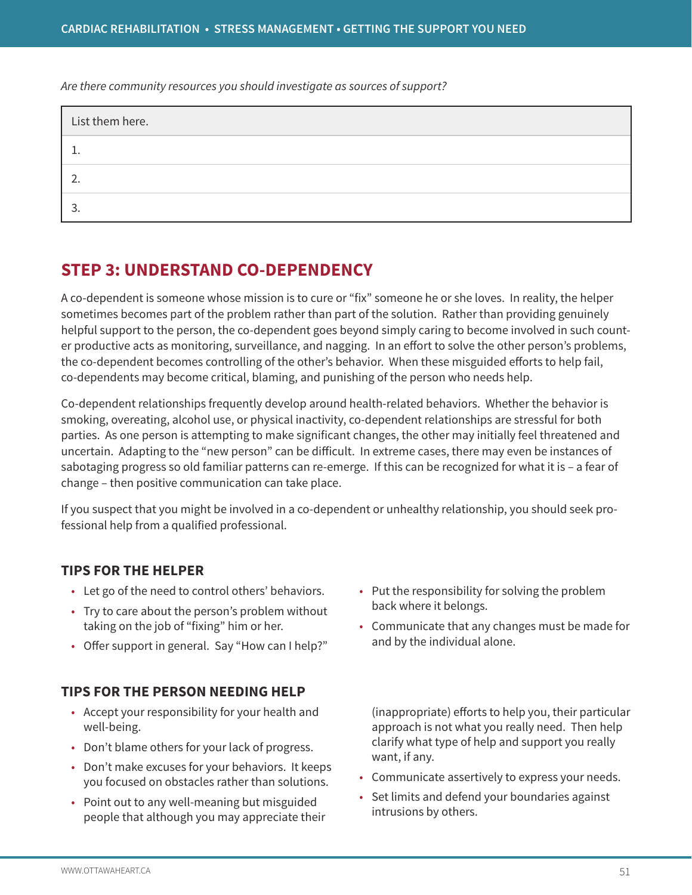*Are there community resources you should investigate as sources of support?* 

| List them here. |  |
|-----------------|--|
|                 |  |
|                 |  |
|                 |  |

# **STEP 3: UNDERSTAND CO-DEPENDENCY**

A co-dependent is someone whose mission is to cure or "fix" someone he or she loves. In reality, the helper sometimes becomes part of the problem rather than part of the solution. Rather than providing genuinely helpful support to the person, the co-dependent goes beyond simply caring to become involved in such counter productive acts as monitoring, surveillance, and nagging. In an effort to solve the other person's problems, the co-dependent becomes controlling of the other's behavior. When these misguided efforts to help fail, co-dependents may become critical, blaming, and punishing of the person who needs help.

Co-dependent relationships frequently develop around health-related behaviors. Whether the behavior is smoking, overeating, alcohol use, or physical inactivity, co-dependent relationships are stressful for both parties. As one person is attempting to make significant changes, the other may initially feel threatened and uncertain. Adapting to the "new person" can be difficult. In extreme cases, there may even be instances of sabotaging progress so old familiar patterns can re-emerge. If this can be recognized for what it is – a fear of change – then positive communication can take place.

If you suspect that you might be involved in a co-dependent or unhealthy relationship, you should seek professional help from a qualified professional.

# **TIPS FOR THE HELPER**

- Let go of the need to control others' behaviors.
- Try to care about the person's problem without taking on the job of "fixing" him or her.
- Offer support in general. Say "How can I help?"

# **TIPS FOR THE PERSON NEEDING HELP**

- Accept your responsibility for your health and well-being.
- Don't blame others for your lack of progress.
- Don't make excuses for your behaviors. It keeps you focused on obstacles rather than solutions.
- Point out to any well-meaning but misguided people that although you may appreciate their
- Put the responsibility for solving the problem back where it belongs.
- Communicate that any changes must be made for and by the individual alone.

(inappropriate) efforts to help you, their particular approach is not what you really need. Then help clarify what type of help and support you really want, if any.

- Communicate assertively to express your needs.
- Set limits and defend your boundaries against intrusions by others.